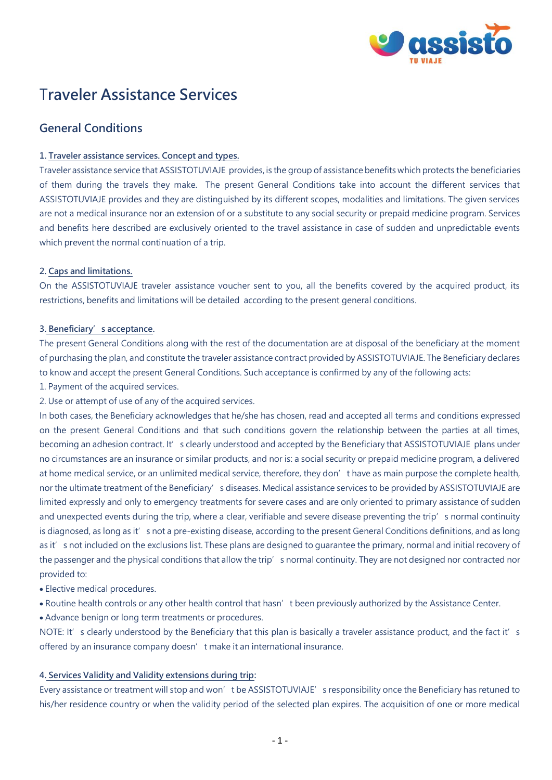

# T**raveler Assistance Services**

## **General Conditions**

## **1. Traveler assistance services. Concept and types.**

Traveler assistance service that ASSISTOTUVIAJE provides, is the group of assistance benefits which protects the beneficiaries of them during the travels they make. The present General Conditions take into account the different services that ASSISTOTUVIAJE provides and they are distinguished by its different scopes, modalities and limitations. The given services are not a medical insurance nor an extension of or a substitute to any social security or prepaid medicine program. Services and benefits here described are exclusively oriented to the travel assistance in case of sudden and unpredictable events which prevent the normal continuation of a trip.

## **2. Caps and limitations.**

On the ASSISTOTUVIAJE traveler assistance voucher sent to you, all the benefits covered by the acquired product, its restrictions, benefits and limitations will be detailed according to the present general conditions.

## **3. Beneficiary's acceptance.**

The present General Conditions along with the rest of the documentation are at disposal of the beneficiary at the moment of purchasing the plan, and constitute the traveler assistance contract provided by ASSISTOTUVIAJE. The Beneficiary declares to know and accept the present General Conditions. Such acceptance is confirmed by any of the following acts:

- 1. Payment of the acquired services.
- 2. Use or attempt of use of any of the acquired services.

In both cases, the Beneficiary acknowledges that he/she has chosen, read and accepted all terms and conditions expressed on the present General Conditions and that such conditions govern the relationship between the parties at all times, becoming an adhesion contract. It's clearly understood and accepted by the Beneficiary that ASSISTOTUVIAJE plans under no circumstances are an insurance or similar products, and nor is: a social security or prepaid medicine program, a delivered at home medical service, or an unlimited medical service, therefore, they don't have as main purpose the complete health, nor the ultimate treatment of the Beneficiary's diseases. Medical assistance services to be provided by ASSISTOTUVIAJE are limited expressly and only to emergency treatments for severe cases and are only oriented to primary assistance of sudden and unexpected events during the trip, where a clear, verifiable and severe disease preventing the trip's normal continuity is diagnosed, as long as it's not a pre-existing disease, according to the present General Conditions definitions, and as long as it's not included on the exclusions list. These plans are designed to quarantee the primary, normal and initial recovery of the passenger and the physical conditions that allow the trip' s normal continuity. They are not designed nor contracted nor provided to:

- Elective medical procedures.
- Routine health controls or any other health control that hasn't been previously authorized by the Assistance Center.
- Advance benign or long term treatments or procedures.

NOTE: It's clearly understood by the Beneficiary that this plan is basically a traveler assistance product, and the fact it's offered by an insurance company doesn' t make it an international insurance.

## **4. Services Validity and Validity extensions during trip:**

Every assistance or treatment will stop and won't be ASSISTOTUVIAJE's responsibility once the Beneficiary has retuned to his/her residence country or when the validity period of the selected plan expires. The acquisition of one or more medical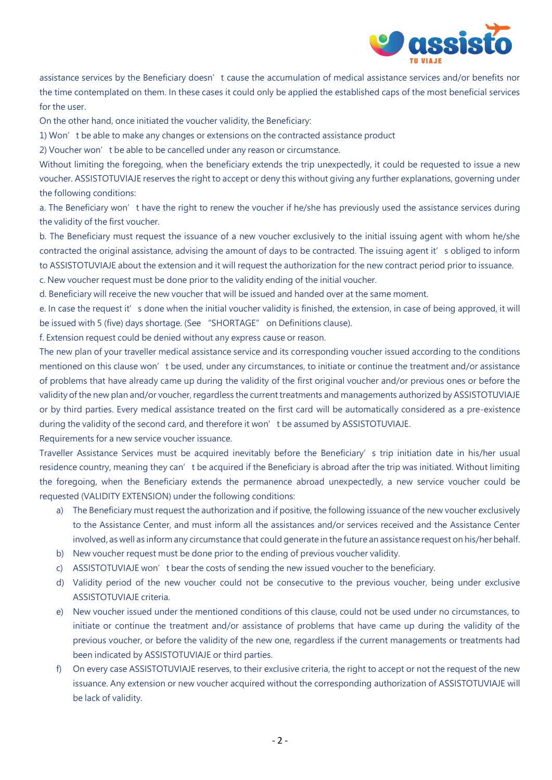

assistance services by the Beneficiary doesn't cause the accumulation of medical assistance services and/or benefits nor the time contemplated on them. In these cases it could only be applied the established caps of the most beneficial services for the user.

On the other hand, once initiated the voucher validity, the Beneficiary:

1) Won't be able to make any changes or extensions on the contracted assistance product

2) Voucher won't be able to be cancelled under any reason or circumstance.

Without limiting the foregoing, when the beneficiary extends the trip unexpectedly, it could be requested to issue a new voucher. ASSISTOTUVIAJE reserves the right to accept or deny this without giving any further explanations, governing under the following conditions:

a. The Beneficiary won't have the right to renew the voucher if he/she has previously used the assistance services during the validity of the first voucher.

b. The Beneficiary must request the issuance of a new voucher exclusively to the initial issuing agent with whom he/she contracted the original assistance, advising the amount of days to be contracted. The issuing agent it's obliged to inform to ASSISTOTUVIAJE about the extension and it will request the authorization for the new contract period prior to issuance. c. New voucher request must be done prior to the validity ending of the initial voucher.

d. Beneficiary will receive the new voucher that will be issued and handed over at the same moment.

e. In case the request it's done when the initial voucher validity is finished, the extension, in case of being approved, it will be issued with 5 (five) days shortage. (See "SHORTAGE" on Definitions clause).

f. Extension request could be denied without any express cause or reason.

The new plan of your traveller medical assistance service and its corresponding voucher issued according to the conditions mentioned on this clause won't be used, under any circumstances, to initiate or continue the treatment and/or assistance of problems that have already came up during the validity of the first original voucher and/or previous ones or before the validity of the new plan and/or voucher, regardless the current treatments and managements authorized by ASSISTOTUVIAJE or by third parties. Every medical assistance treated on the first card will be automatically considered as a pre-existence during the validity of the second card, and therefore it won't be assumed by ASSISTOTUVIAJE.

Requirements for a new service voucher issuance.

Traveller Assistance Services must be acquired inevitably before the Beneficiary's trip initiation date in his/her usual residence country, meaning they can't be acquired if the Beneficiary is abroad after the trip was initiated. Without limiting the foregoing, when the Beneficiary extends the permanence abroad unexpectedly, a new service voucher could be requested (VALIDITY EXTENSION) under the following conditions:

- a) The Beneficiary must request the authorization and if positive, the following issuance of the new voucher exclusively to the Assistance Center, and must inform all the assistances and/or services received and the Assistance Center involved, as well as inform any circumstance that could generate in the future an assistance request on his/her behalf.
- b) New voucher request must be done prior to the ending of previous voucher validity.
- c) ASSISTOTUVIAJE won't bear the costs of sending the new issued voucher to the beneficiary.
- d) Validity period of the new voucher could not be consecutive to the previous voucher, being under exclusive ASSISTOTUVIAJE criteria.
- e) New voucher issued under the mentioned conditions of this clause, could not be used under no circumstances, to initiate or continue the treatment and/or assistance of problems that have came up during the validity of the previous voucher, or before the validity of the new one, regardless if the current managements or treatments had been indicated by ASSISTOTUVIAJE or third parties.
- f) On every case ASSISTOTUVIAJE reserves, to their exclusive criteria, the right to accept or not the request of the new issuance. Any extension or new voucher acquired without the corresponding authorization of ASSISTOTUVIAJE will be lack of validity.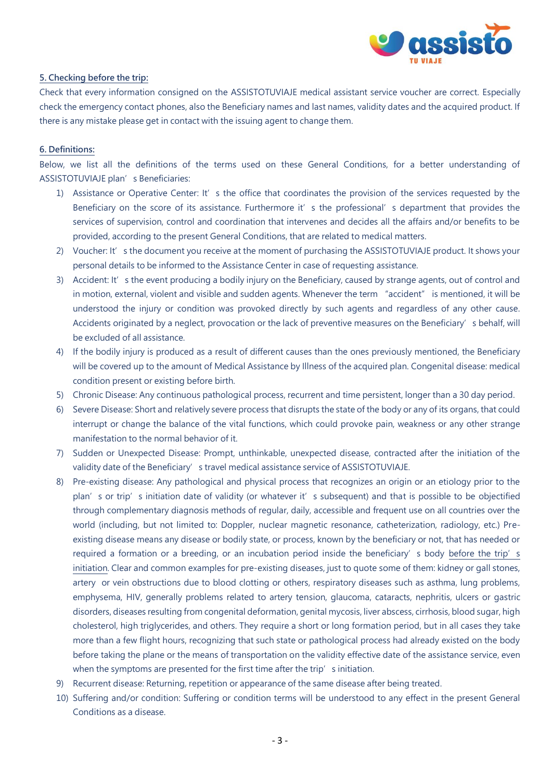

#### **5. Checking before the trip:**

Check that every information consigned on the ASSISTOTUVIAJE medical assistant service voucher are correct. Especially check the emergency contact phones, also the Beneficiary names and last names, validity dates and the acquired product. If there is any mistake please get in contact with the issuing agent to change them.

#### **6. Definitions:**

Below, we list all the definitions of the terms used on these General Conditions, for a better understanding of ASSISTOTUVIAJE plan's Beneficiaries:

- 1) Assistance or Operative Center: It's the office that coordinates the provision of the services requested by the Beneficiary on the score of its assistance. Furthermore it' s the professional' s department that provides the services of supervision, control and coordination that intervenes and decides all the affairs and/or benefits to be provided, according to the present General Conditions, that are related to medical matters.
- 2) Voucher: It's the document you receive at the moment of purchasing the ASSISTOTUVIAJE product. It shows your personal details to be informed to the Assistance Center in case of requesting assistance.
- 3) Accident: It's the event producing a bodily injury on the Beneficiary, caused by strange agents, out of control and in motion, external, violent and visible and sudden agents. Whenever the term "accident" is mentioned, it will be understood the injury or condition was provoked directly by such agents and regardless of any other cause. Accidents originated by a neglect, provocation or the lack of preventive measures on the Beneficiary's behalf, will be excluded of all assistance.
- 4) If the bodily injury is produced as a result of different causes than the ones previously mentioned, the Beneficiary will be covered up to the amount of Medical Assistance by Illness of the acquired plan. Congenital disease: medical condition present or existing before birth.
- 5) Chronic Disease: Any continuous pathological process, recurrent and time persistent, longer than a 30 day period.
- 6) Severe Disease: Short and relatively severe process that disrupts the state of the body or any of its organs, that could interrupt or change the balance of the vital functions, which could provoke pain, weakness or any other strange manifestation to the normal behavior of it.
- 7) Sudden or Unexpected Disease: Prompt, unthinkable, unexpected disease, contracted after the initiation of the validity date of the Beneficiary's travel medical assistance service of ASSISTOTUVIAJE.
- 8) Pre-existing disease: Any pathological and physical process that recognizes an origin or an etiology prior to the plan's or trip's initiation date of validity (or whatever it's subsequent) and that is possible to be objectified through complementary diagnosis methods of regular, daily, accessible and frequent use on all countries over the world (including, but not limited to: Doppler, nuclear magnetic resonance, catheterization, radiology, etc.) Preexisting disease means any disease or bodily state, or process, known by the beneficiary or not, that has needed or required a formation or a breeding, or an incubation period inside the beneficiary's body before the trip's initiation. Clear and common examples for pre-existing diseases, just to quote some of them: kidney or gall stones, artery or vein obstructions due to blood clotting or others, respiratory diseases such as asthma, lung problems, emphysema, HIV, generally problems related to artery tension, glaucoma, cataracts, nephritis, ulcers or gastric disorders, diseases resulting from congenital deformation, genital mycosis, liver abscess, cirrhosis, blood sugar, high cholesterol, high triglycerides, and others. They require a short or long formation period, but in all cases they take more than a few flight hours, recognizing that such state or pathological process had already existed on the body before taking the plane or the means of transportation on the validity effective date of the assistance service, even when the symptoms are presented for the first time after the trip' s initiation.
- 9) Recurrent disease: Returning, repetition or appearance of the same disease after being treated.
- 10) Suffering and/or condition: Suffering or condition terms will be understood to any effect in the present General Conditions as a disease.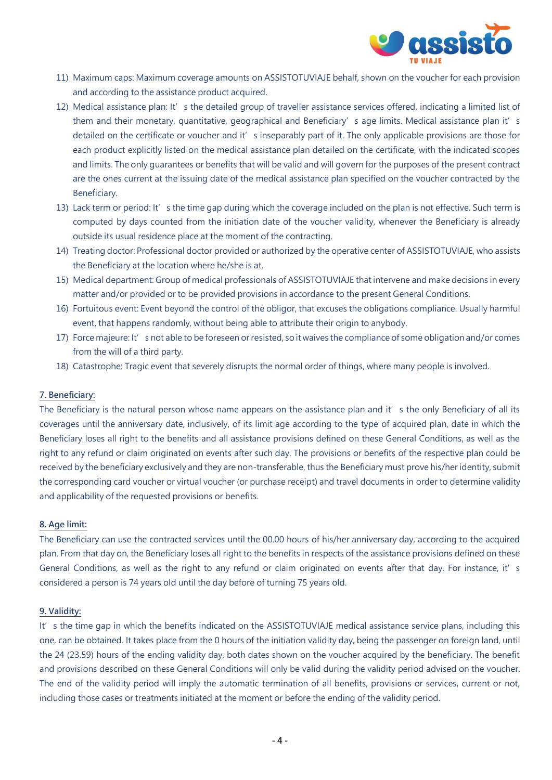

- 11) Maximum caps: Maximum coverage amounts on ASSISTOTUVIAJE behalf, shown on the voucher for each provision and according to the assistance product acquired.
- 12) Medical assistance plan: It's the detailed group of traveller assistance services offered, indicating a limited list of them and their monetary, quantitative, geographical and Beneficiary's age limits. Medical assistance plan it's detailed on the certificate or voucher and it's inseparably part of it. The only applicable provisions are those for each product explicitly listed on the medical assistance plan detailed on the certificate, with the indicated scopes and limits. The only guarantees or benefits that will be valid and will govern for the purposes of the present contract are the ones current at the issuing date of the medical assistance plan specified on the voucher contracted by the Beneficiary.
- 13) Lack term or period: It's the time gap during which the coverage included on the plan is not effective. Such term is computed by days counted from the initiation date of the voucher validity, whenever the Beneficiary is already outside its usual residence place at the moment of the contracting.
- 14) Treating doctor: Professional doctor provided or authorized by the operative center of ASSISTOTUVIAJE, who assists the Beneficiary at the location where he/she is at.
- 15) Medical department: Group of medical professionals of ASSISTOTUVIAJE that intervene and make decisions in every matter and/or provided or to be provided provisions in accordance to the present General Conditions.
- 16) Fortuitous event: Event beyond the control of the obligor, that excuses the obligations compliance. Usually harmful event, that happens randomly, without being able to attribute their origin to anybody.
- 17) Force majeure: It's not able to be foreseen or resisted, so it waives the compliance of some obligation and/or comes from the will of a third party.
- 18) Catastrophe: Tragic event that severely disrupts the normal order of things, where many people is involved.

## **7. Beneficiary:**

The Beneficiary is the natural person whose name appears on the assistance plan and it's the only Beneficiary of all its coverages until the anniversary date, inclusively, of its limit age according to the type of acquired plan, date in which the Beneficiary loses all right to the benefits and all assistance provisions defined on these General Conditions, as well as the right to any refund or claim originated on events after such day. The provisions or benefits of the respective plan could be received by the beneficiary exclusively and they are non-transferable, thus the Beneficiary must prove his/her identity, submit the corresponding card voucher or virtual voucher (or purchase receipt) and travel documents in order to determine validity and applicability of the requested provisions or benefits.

#### **8. Age limit:**

The Beneficiary can use the contracted services until the 00.00 hours of his/her anniversary day, according to the acquired plan. From that day on, the Beneficiary loses all right to the benefits in respects of the assistance provisions defined on these General Conditions, as well as the right to any refund or claim originated on events after that day. For instance, it's considered a person is 74 years old until the day before of turning 75 years old.

#### **9. Validity:**

It's the time gap in which the benefits indicated on the ASSISTOTUVIAJE medical assistance service plans, including this one, can be obtained. It takes place from the 0 hours of the initiation validity day, being the passenger on foreign land, until the 24 (23.59) hours of the ending validity day, both dates shown on the voucher acquired by the beneficiary. The benefit and provisions described on these General Conditions will only be valid during the validity period advised on the voucher. The end of the validity period will imply the automatic termination of all benefits, provisions or services, current or not, including those cases or treatments initiated at the moment or before the ending of the validity period.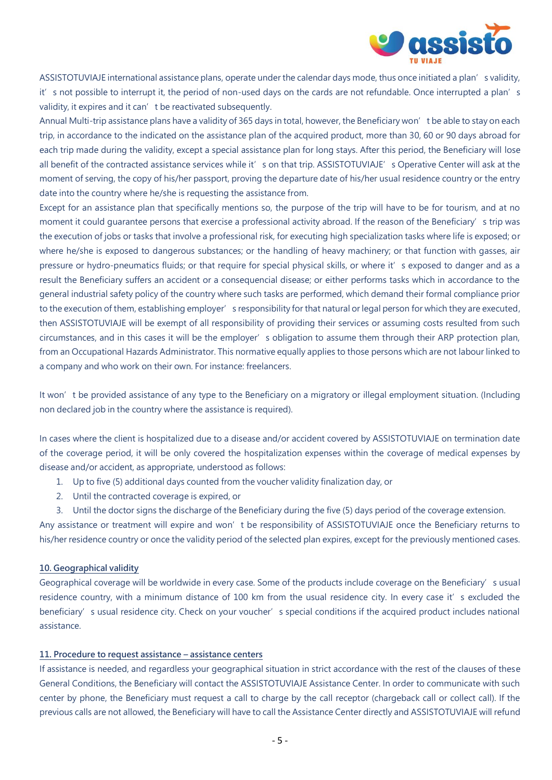

ASSISTOTUVIAJE international assistance plans, operate under the calendar days mode, thus once initiated a plan's validity, it's not possible to interrupt it, the period of non-used days on the cards are not refundable. Once interrupted a plan's validity, it expires and it can't be reactivated subsequently.

Annual Multi-trip assistance plans have a validity of 365 days in total, however, the Beneficiary won't be able to stay on each trip, in accordance to the indicated on the assistance plan of the acquired product, more than 30, 60 or 90 days abroad for each trip made during the validity, except a special assistance plan for long stays. After this period, the Beneficiary will lose all benefit of the contracted assistance services while it' s on that trip. ASSISTOTUVIAJE's Operative Center will ask at the moment of serving, the copy of his/her passport, proving the departure date of his/her usual residence country or the entry date into the country where he/she is requesting the assistance from.

Except for an assistance plan that specifically mentions so, the purpose of the trip will have to be for tourism, and at no moment it could guarantee persons that exercise a professional activity abroad. If the reason of the Beneficiary's trip was the execution of jobs or tasks that involve a professional risk, for executing high specialization tasks where life is exposed; or where he/she is exposed to dangerous substances; or the handling of heavy machinery; or that function with gasses, air pressure or hydro-pneumatics fluids; or that require for special physical skills, or where it's exposed to danger and as a result the Beneficiary suffers an accident or a consequencial disease; or either performs tasks which in accordance to the general industrial safety policy of the country where such tasks are performed, which demand their formal compliance prior to the execution of them, establishing employer's responsibility for that natural or legal person for which they are executed, then ASSISTOTUVIAJE will be exempt of all responsibility of providing their services or assuming costs resulted from such circumstances, and in this cases it will be the employer's obligation to assume them through their ARP protection plan, from an Occupational Hazards Administrator. This normative equally applies to those persons which are not labour linked to a company and who work on their own. For instance: freelancers.

It won't be provided assistance of any type to the Beneficiary on a migratory or illegal employment situation. (Including non declared job in the country where the assistance is required).

In cases where the client is hospitalized due to a disease and/or accident covered by ASSISTOTUVIAJE on termination date of the coverage period, it will be only covered the hospitalization expenses within the coverage of medical expenses by disease and/or accident, as appropriate, understood as follows:

- 1. Up to five (5) additional days counted from the voucher validity finalization day, or
- 2. Until the contracted coverage is expired, or
- 3. Until the doctor signs the discharge of the Beneficiary during the five (5) days period of the coverage extension.

Any assistance or treatment will expire and won't be responsibility of ASSISTOTUVIAJE once the Beneficiary returns to his/her residence country or once the validity period of the selected plan expires, except for the previously mentioned cases.

#### **10. Geographical validity**

Geographical coverage will be worldwide in every case. Some of the products include coverage on the Beneficiary's usual residence country, with a minimum distance of 100 km from the usual residence city. In every case it's excluded the beneficiary's usual residence city. Check on your voucher's special conditions if the acquired product includes national assistance.

#### **11. Procedure to request assistance – assistance centers**

If assistance is needed, and regardless your geographical situation in strict accordance with the rest of the clauses of these General Conditions, the Beneficiary will contact the ASSISTOTUVIAJE Assistance Center. In order to communicate with such center by phone, the Beneficiary must request a call to charge by the call receptor (chargeback call or collect call). If the previous calls are not allowed, the Beneficiary will have to call the Assistance Center directly and ASSISTOTUVIAJE will refund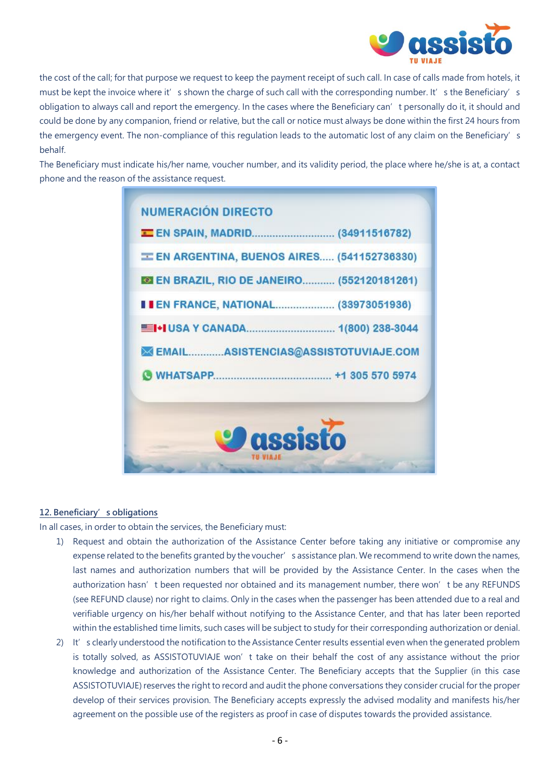

the cost of the call; for that purpose we request to keep the payment receipt of such call. In case of calls made from hotels, it must be kept the invoice where it's shown the charge of such call with the corresponding number. It's the Beneficiary's obligation to always call and report the emergency. In the cases where the Beneficiary can't personally do it, it should and could be done by any companion, friend or relative, but the call or notice must always be done within the first 24 hours from the emergency event. The non-compliance of this regulation leads to the automatic lost of any claim on the Beneficiary's behalf.

The Beneficiary must indicate his/her name, voucher number, and its validity period, the place where he/she is at, a contact phone and the reason of the assistance request.

|  | EN ARGENTINA, BUENOS AIRES (541152736330)          |
|--|----------------------------------------------------|
|  | <b>EX EN BRAZIL, RIO DE JANEIRO (552120181261)</b> |
|  | <b>I EN FRANCE, NATIONAL (33973051936)</b>         |
|  |                                                    |
|  | EMAILASISTENCIAS@ASSISTOTUVIAJE.COM                |
|  |                                                    |
|  |                                                    |

#### **12. Beneficiary's obligations**

In all cases, in order to obtain the services, the Beneficiary must:

- 1) Request and obtain the authorization of the Assistance Center before taking any initiative or compromise any expense related to the benefits granted by the voucher's assistance plan. We recommend to write down the names, last names and authorization numbers that will be provided by the Assistance Center. In the cases when the authorization hasn't been requested nor obtained and its management number, there won't be any REFUNDS (see REFUND clause) nor right to claims. Only in the cases when the passenger has been attended due to a real and verifiable urgency on his/her behalf without notifying to the Assistance Center, and that has later been reported within the established time limits, such cases will be subject to study for their corresponding authorization or denial.
- 2) It's clearly understood the notification to the Assistance Center results essential even when the generated problem is totally solved, as ASSISTOTUVIAJE won't take on their behalf the cost of any assistance without the prior knowledge and authorization of the Assistance Center. The Beneficiary accepts that the Supplier (in this case ASSISTOTUVIAJE) reserves the right to record and audit the phone conversations they consider crucial for the proper develop of their services provision. The Beneficiary accepts expressly the advised modality and manifests his/her agreement on the possible use of the registers as proof in case of disputes towards the provided assistance.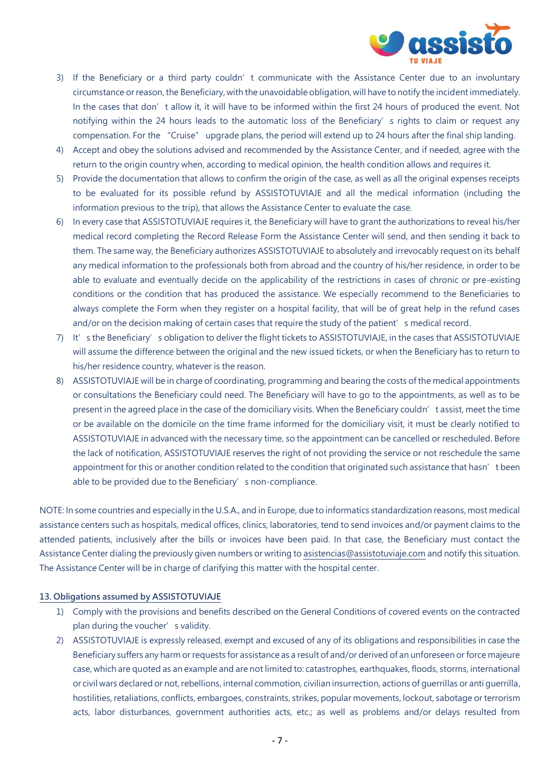

- 3) If the Beneficiary or a third party couldn't communicate with the Assistance Center due to an involuntary circumstance or reason, the Beneficiary, with the unavoidable obligation, will have to notify the incident immediately. In the cases that don't allow it, it will have to be informed within the first 24 hours of produced the event. Not notifying within the 24 hours leads to the automatic loss of the Beneficiary's rights to claim or request any compensation. For the "Cruise" upgrade plans, the period will extend up to 24 hours after the final ship landing.
- 4) Accept and obey the solutions advised and recommended by the Assistance Center, and if needed, agree with the return to the origin country when, according to medical opinion, the health condition allows and requires it.
- 5) Provide the documentation that allows to confirm the origin of the case, as well as all the original expenses receipts to be evaluated for its possible refund by ASSISTOTUVIAJE and all the medical information (including the information previous to the trip), that allows the Assistance Center to evaluate the case.
- 6) In every case that ASSISTOTUVIAJE requires it, the Beneficiary will have to grant the authorizations to reveal his/her medical record completing the Record Release Form the Assistance Center will send, and then sending it back to them. The same way, the Beneficiary authorizes ASSISTOTUVIAJE to absolutely and irrevocably request on its behalf any medical information to the professionals both from abroad and the country of his/her residence, in order to be able to evaluate and eventually decide on the applicability of the restrictions in cases of chronic or pre-existing conditions or the condition that has produced the assistance. We especially recommend to the Beneficiaries to always complete the Form when they register on a hospital facility, that will be of great help in the refund cases and/or on the decision making of certain cases that require the study of the patient's medical record.
- 7) It's the Beneficiary's obligation to deliver the flight tickets to ASSISTOTUVIAJE, in the cases that ASSISTOTUVIAJE will assume the difference between the original and the new issued tickets, or when the Beneficiary has to return to his/her residence country, whatever is the reason.
- 8) ASSISTOTUVIAJE will be in charge of coordinating, programming and bearing the costs of the medical appointments or consultations the Beneficiary could need. The Beneficiary will have to go to the appointments, as well as to be present in the agreed place in the case of the domiciliary visits. When the Beneficiary couldn't assist, meet the time or be available on the domicile on the time frame informed for the domiciliary visit, it must be clearly notified to ASSISTOTUVIAJE in advanced with the necessary time, so the appointment can be cancelled or rescheduled. Before the lack of notification, ASSISTOTUVIAJE reserves the right of not providing the service or not reschedule the same appointment for this or another condition related to the condition that originated such assistance that hasn't been able to be provided due to the Beneficiary's non-compliance.

NOTE: In some countries and especially in the U.S.A., and in Europe, due to informatics standardization reasons, most medical assistance centers such as hospitals, medical offices, clinics, laboratories, tend to send invoices and/or payment claims to the attended patients, inclusively after the bills or invoices have been paid. In that case, the Beneficiary must contact the Assistance Center dialing the previously given numbers or writing t[o asistencias@assistotuviaje.com](mailto:asistencias@assistotuviaje.com) and notify this situation. The Assistance Center will be in charge of clarifying this matter with the hospital center.

#### **13. Obligations assumed by ASSISTOTUVIAJE**

- 1) Comply with the provisions and benefits described on the General Conditions of covered events on the contracted plan during the voucher's validity.
- 2) ASSISTOTUVIAJE is expressly released, exempt and excused of any of its obligations and responsibilities in case the Beneficiary suffers any harm or requests for assistance as a result of and/or derived of an unforeseen or force majeure case, which are quoted as an example and are not limited to: catastrophes, earthquakes, floods, storms, international or civil wars declared or not, rebellions, internal commotion, civilian insurrection, actions of guerrillas or anti guerrilla, hostilities, retaliations, conflicts, embargoes, constraints, strikes, popular movements, lockout, sabotage or terrorism acts, labor disturbances, government authorities acts, etc.; as well as problems and/or delays resulted from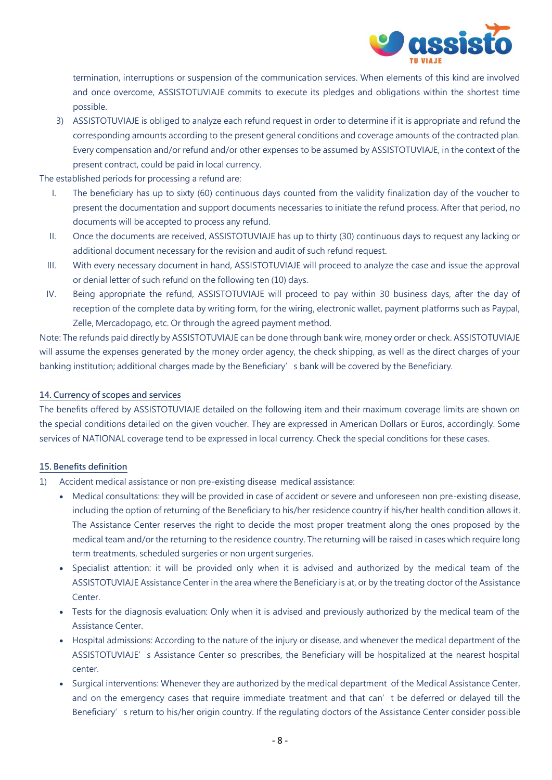

termination, interruptions or suspension of the communication services. When elements of this kind are involved and once overcome, ASSISTOTUVIAJE commits to execute its pledges and obligations within the shortest time possible.

3) ASSISTOTUVIAJE is obliged to analyze each refund request in order to determine if it is appropriate and refund the corresponding amounts according to the present general conditions and coverage amounts of the contracted plan. Every compensation and/or refund and/or other expenses to be assumed by ASSISTOTUVIAJE, in the context of the present contract, could be paid in local currency.

The established periods for processing a refund are:

- I. The beneficiary has up to sixty (60) continuous days counted from the validity finalization day of the voucher to present the documentation and support documents necessaries to initiate the refund process. After that period, no documents will be accepted to process any refund.
- II. Once the documents are received, ASSISTOTUVIAJE has up to thirty (30) continuous days to request any lacking or additional document necessary for the revision and audit of such refund request.
- III. With every necessary document in hand, ASSISTOTUVIAJE will proceed to analyze the case and issue the approval or denial letter of such refund on the following ten (10) days.
- IV. Being appropriate the refund, ASSISTOTUVIAJE will proceed to pay within 30 business days, after the day of reception of the complete data by writing form, for the wiring, electronic wallet, payment platforms such as Paypal, Zelle, Mercadopago, etc. Or through the agreed payment method.

Note: The refunds paid directly by ASSISTOTUVIAJE can be done through bank wire, money order or check. ASSISTOTUVIAJE will assume the expenses generated by the money order agency, the check shipping, as well as the direct charges of your banking institution; additional charges made by the Beneficiary's bank will be covered by the Beneficiary.

### **14. Currency of scopes and services**

The benefits offered by ASSISTOTUVIAJE detailed on the following item and their maximum coverage limits are shown on the special conditions detailed on the given voucher. They are expressed in American Dollars or Euros, accordingly. Some services of NATIONAL coverage tend to be expressed in local currency. Check the special conditions for these cases.

#### **15. Benefits definition**

- 1) Accident medical assistance or non pre-existing disease medical assistance:
	- Medical consultations: they will be provided in case of accident or severe and unforeseen non pre-existing disease, including the option of returning of the Beneficiary to his/her residence country if his/her health condition allows it. The Assistance Center reserves the right to decide the most proper treatment along the ones proposed by the medical team and/or the returning to the residence country. The returning will be raised in cases which require long term treatments, scheduled surgeries or non urgent surgeries.
	- Specialist attention: it will be provided only when it is advised and authorized by the medical team of the ASSISTOTUVIAJE Assistance Center in the area where the Beneficiary is at, or by the treating doctor of the Assistance Center.
	- Tests for the diagnosis evaluation: Only when it is advised and previously authorized by the medical team of the Assistance Center.
	- Hospital admissions: According to the nature of the injury or disease, and whenever the medical department of the ASSISTOTUVIAJE's Assistance Center so prescribes, the Beneficiary will be hospitalized at the nearest hospital center.
	- Surgical interventions: Whenever they are authorized by the medical department of the Medical Assistance Center, and on the emergency cases that require immediate treatment and that can't be deferred or delayed till the Beneficiary's return to his/her origin country. If the regulating doctors of the Assistance Center consider possible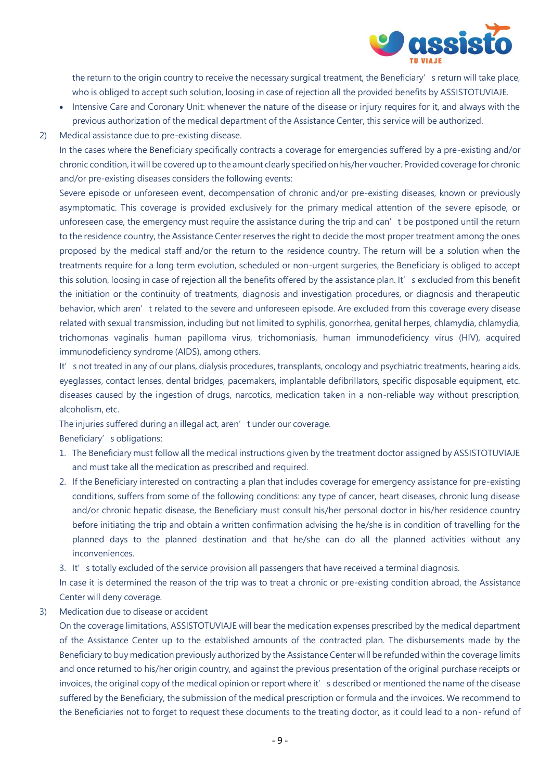

the return to the origin country to receive the necessary surgical treatment, the Beneficiary's return will take place, who is obliged to accept such solution, loosing in case of rejection all the provided benefits by ASSISTOTUVIAJE.

- Intensive Care and Coronary Unit: whenever the nature of the disease or injury requires for it, and always with the previous authorization of the medical department of the Assistance Center, this service will be authorized.
- 2) Medical assistance due to pre-existing disease.

In the cases where the Beneficiary specifically contracts a coverage for emergencies suffered by a pre-existing and/or chronic condition, it will be covered up to the amount clearly specified on his/her voucher. Provided coverage for chronic and/or pre-existing diseases considers the following events:

Severe episode or unforeseen event, decompensation of chronic and/or pre-existing diseases, known or previously asymptomatic. This coverage is provided exclusively for the primary medical attention of the severe episode, or unforeseen case, the emergency must require the assistance during the trip and can't be postponed until the return to the residence country, the Assistance Center reserves the right to decide the most proper treatment among the ones proposed by the medical staff and/or the return to the residence country. The return will be a solution when the treatments require for a long term evolution, scheduled or non-urgent surgeries, the Beneficiary is obliged to accept this solution, loosing in case of rejection all the benefits offered by the assistance plan. It's excluded from this benefit the initiation or the continuity of treatments, diagnosis and investigation procedures, or diagnosis and therapeutic behavior, which aren't related to the severe and unforeseen episode. Are excluded from this coverage every disease related with sexual transmission, including but not limited to syphilis, gonorrhea, genital herpes, chlamydia, chlamydia, trichomonas vaginalis human papilloma virus, trichomoniasis, human immunodeficiency virus (HIV), acquired immunodeficiency syndrome (AIDS), among others.

It's not treated in any of our plans, dialysis procedures, transplants, oncology and psychiatric treatments, hearing aids, eyeglasses, contact lenses, dental bridges, pacemakers, implantable defibrillators, specific disposable equipment, etc. diseases caused by the ingestion of drugs, narcotics, medication taken in a non-reliable way without prescription, alcoholism, etc.

The injuries suffered during an illegal act, aren't under our coverage.

Beneficiary's obligations:

- 1. The Beneficiary must follow all the medical instructions given by the treatment doctor assigned by ASSISTOTUVIAJE and must take all the medication as prescribed and required.
- 2. If the Beneficiary interested on contracting a plan that includes coverage for emergency assistance for pre-existing conditions, suffers from some of the following conditions: any type of cancer, heart diseases, chronic lung disease and/or chronic hepatic disease, the Beneficiary must consult his/her personal doctor in his/her residence country before initiating the trip and obtain a written confirmation advising the he/she is in condition of travelling for the planned days to the planned destination and that he/she can do all the planned activities without any inconveniences.

3. It's totally excluded of the service provision all passengers that have received a terminal diagnosis.

In case it is determined the reason of the trip was to treat a chronic or pre-existing condition abroad, the Assistance Center will deny coverage.

3) Medication due to disease or accident

On the coverage limitations, ASSISTOTUVIAJE will bear the medication expenses prescribed by the medical department of the Assistance Center up to the established amounts of the contracted plan. The disbursements made by the Beneficiary to buy medication previously authorized by the Assistance Center will be refunded within the coverage limits and once returned to his/her origin country, and against the previous presentation of the original purchase receipts or invoices, the original copy of the medical opinion or report where it' s described or mentioned the name of the disease suffered by the Beneficiary, the submission of the medical prescription or formula and the invoices. We recommend to the Beneficiaries not to forget to request these documents to the treating doctor, as it could lead to a non- refund of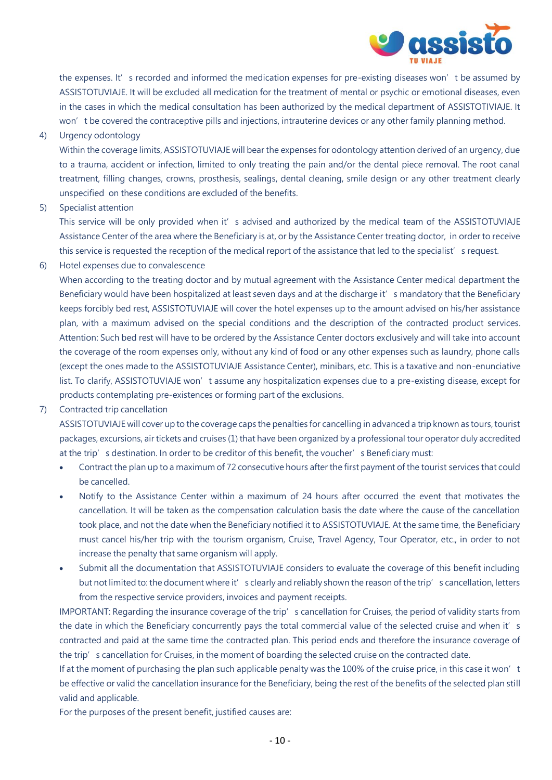

the expenses. It's recorded and informed the medication expenses for pre-existing diseases won't be assumed by ASSISTOTUVIAJE. It will be excluded all medication for the treatment of mental or psychic or emotional diseases, even in the cases in which the medical consultation has been authorized by the medical department of ASSISTOTIVIAJE. It won't be covered the contraceptive pills and injections, intrauterine devices or any other family planning method.

4) Urgency odontology

Within the coverage limits, ASSISTOTUVIAJE will bear the expenses for odontology attention derived of an urgency, due to a trauma, accident or infection, limited to only treating the pain and/or the dental piece removal. The root canal treatment, filling changes, crowns, prosthesis, sealings, dental cleaning, smile design or any other treatment clearly unspecified on these conditions are excluded of the benefits.

5) Specialist attention

This service will be only provided when it' s advised and authorized by the medical team of the ASSISTOTUVIAJE Assistance Center of the area where the Beneficiary is at, or by the Assistance Center treating doctor, in order to receive this service is requested the reception of the medical report of the assistance that led to the specialist's request.

6) Hotel expenses due to convalescence

When according to the treating doctor and by mutual agreement with the Assistance Center medical department the Beneficiary would have been hospitalized at least seven days and at the discharge it's mandatory that the Beneficiary keeps forcibly bed rest, ASSISTOTUVIAJE will cover the hotel expenses up to the amount advised on his/her assistance plan, with a maximum advised on the special conditions and the description of the contracted product services. Attention: Such bed rest will have to be ordered by the Assistance Center doctors exclusively and will take into account the coverage of the room expenses only, without any kind of food or any other expenses such as laundry, phone calls (except the ones made to the ASSISTOTUVIAJE Assistance Center), minibars, etc. This is a taxative and non-enunciative list. To clarify, ASSISTOTUVIAJE won't assume any hospitalization expenses due to a pre-existing disease, except for products contemplating pre-existences or forming part of the exclusions.

7) Contracted trip cancellation

ASSISTOTUVIAJE will cover up to the coverage caps the penalties for cancelling in advanced a trip known as tours, tourist packages, excursions, air tickets and cruises (1) that have been organized by a professional tour operator duly accredited at the trip's destination. In order to be creditor of this benefit, the voucher's Beneficiary must:

- Contract the plan up to a maximum of 72 consecutive hours after the first payment of the tourist services that could be cancelled.
- Notify to the Assistance Center within a maximum of 24 hours after occurred the event that motivates the cancellation. It will be taken as the compensation calculation basis the date where the cause of the cancellation took place, and not the date when the Beneficiary notified it to ASSISTOTUVIAJE. At the same time, the Beneficiary must cancel his/her trip with the tourism organism, Cruise, Travel Agency, Tour Operator, etc., in order to not increase the penalty that same organism will apply.
- Submit all the documentation that ASSISTOTUVIAJE considers to evaluate the coverage of this benefit including but not limited to: the document where it' s clearly and reliably shown the reason of the trip' s cancellation, letters from the respective service providers, invoices and payment receipts.

IMPORTANT: Regarding the insurance coverage of the trip's cancellation for Cruises, the period of validity starts from the date in which the Beneficiary concurrently pays the total commercial value of the selected cruise and when it's contracted and paid at the same time the contracted plan. This period ends and therefore the insurance coverage of the trip's cancellation for Cruises, in the moment of boarding the selected cruise on the contracted date.

If at the moment of purchasing the plan such applicable penalty was the 100% of the cruise price, in this case it won't be effective or valid the cancellation insurance for the Beneficiary, being the rest of the benefits of the selected plan still valid and applicable.

For the purposes of the present benefit, justified causes are: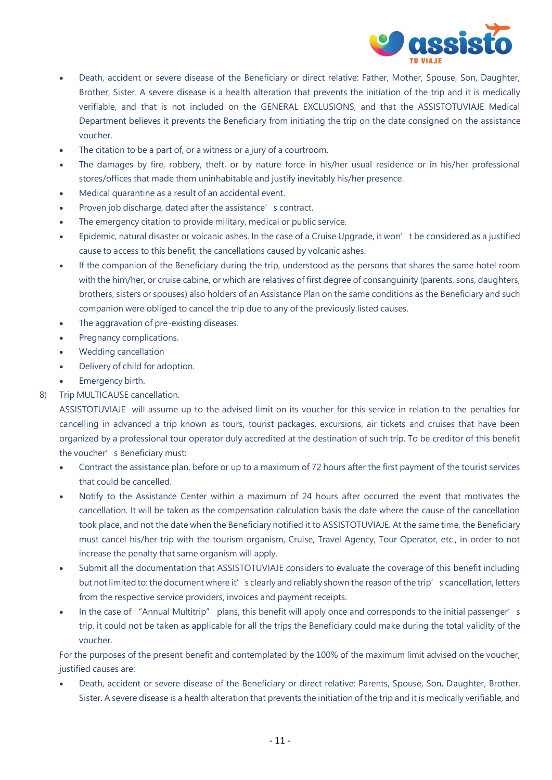

- Death, accident or severe disease of the Beneficiary or direct relative: Father, Mother, Spouse, Son, Daughter, Brother, Sister. A severe disease is a health alteration that prevents the initiation of the trip and it is medically verifiable, and that is not included on the GENERAL EXCLUSIONS, and that the ASSISTOTUVIAJE Medical Department believes it prevents the Beneficiary from initiating the trip on the date consigned on the assistance voucher.
- The citation to be a part of, or a witness or a jury of a courtroom.
- The damages by fire, robbery, theft, or by nature force in his/her usual residence or in his/her professional stores/offices that made them uninhabitable and justify inevitably his/her presence.
- Medical quarantine as a result of an accidental event.
- Proven job discharge, dated after the assistance's contract.
- The emergency citation to provide military, medical or public service.
- Epidemic, natural disaster or volcanic ashes. In the case of a Cruise Upgrade, it won't be considered as a justified cause to access to this benefit, the cancellations caused by volcanic ashes.
- If the companion of the Beneficiary during the trip, understood as the persons that shares the same hotel room with the him/her, or cruise cabine, or which are relatives of first degree of consanguinity (parents, sons, daughters, brothers, sisters or spouses) also holders of an Assistance Plan on the same conditions as the Beneficiary and such companion were obliged to cancel the trip due to any of the previously listed causes.
- The aggravation of pre-existing diseases.
- Pregnancy complications.
- Wedding cancellation
- Delivery of child for adoption.
- Emergency birth.
- 8) Trip MULTICAUSE cancellation.

ASSISTOTUVIAJE will assume up to the advised limit on its voucher for this service in relation to the penalties for cancelling in advanced a trip known as tours, tourist packages, excursions, air tickets and cruises that have been organized by a professional tour operator duly accredited at the destination of such trip. To be creditor of this benefit the voucher' s Beneficiary must:

- Contract the assistance plan, before or up to a maximum of 72 hours after the first payment of the tourist services that could be cancelled.
- Notify to the Assistance Center within a maximum of 24 hours after occurred the event that motivates the cancellation. It will be taken as the compensation calculation basis the date where the cause of the cancellation took place, and not the date when the Beneficiary notified it to ASSISTOTUVIAJE. At the same time, the Beneficiary must cancel his/her trip with the tourism organism, Cruise, Travel Agency, Tour Operator, etc., in order to not increase the penalty that same organism will apply.
- Submit all the documentation that ASSISTOTUVIAJE considers to evaluate the coverage of this benefit including but not limited to: the document where it' s clearly and reliably shown the reason of the trip' s cancellation, letters from the respective service providers, invoices and payment receipts.
- In the case of "Annual Multitrip" plans, this benefit will apply once and corresponds to the initial passenger's trip, it could not be taken as applicable for all the trips the Beneficiary could make during the total validity of the voucher.

For the purposes of the present benefit and contemplated by the 100% of the maximum limit advised on the voucher, justified causes are:

 Death, accident or severe disease of the Beneficiary or direct relative: Parents, Spouse, Son, Daughter, Brother, Sister. A severe disease is a health alteration that prevents the initiation of the trip and it is medically verifiable, and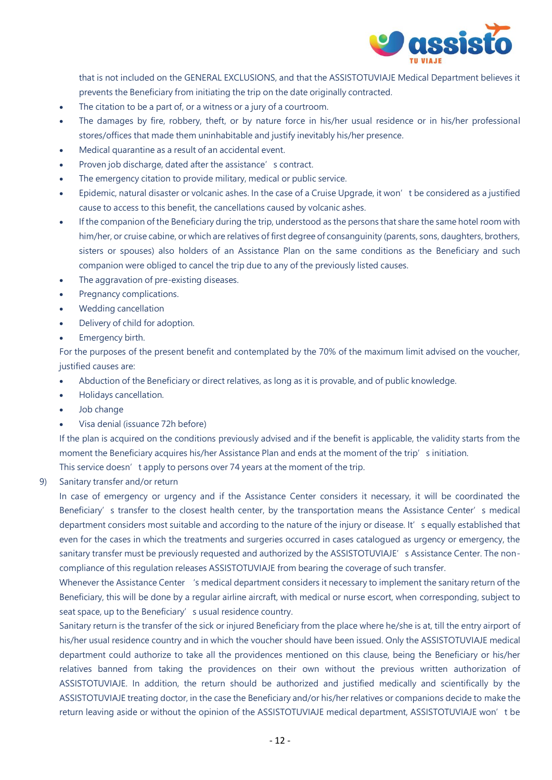

that is not included on the GENERAL EXCLUSIONS, and that the ASSISTOTUVIAJE Medical Department believes it prevents the Beneficiary from initiating the trip on the date originally contracted.

- The citation to be a part of, or a witness or a jury of a courtroom.
- The damages by fire, robbery, theft, or by nature force in his/her usual residence or in his/her professional stores/offices that made them uninhabitable and justify inevitably his/her presence.
- Medical quarantine as a result of an accidental event.
- Proven job discharge, dated after the assistance's contract.
- The emergency citation to provide military, medical or public service.
- Epidemic, natural disaster or volcanic ashes. In the case of a Cruise Upgrade, it won't be considered as a justified cause to access to this benefit, the cancellations caused by volcanic ashes.
- If the companion of the Beneficiary during the trip, understood as the persons that share the same hotel room with him/her, or cruise cabine, or which are relatives of first degree of consanguinity (parents, sons, daughters, brothers, sisters or spouses) also holders of an Assistance Plan on the same conditions as the Beneficiary and such companion were obliged to cancel the trip due to any of the previously listed causes.
- The aggravation of pre-existing diseases.
- Pregnancy complications.
- Wedding cancellation
- Delivery of child for adoption.
- Emergency birth.

For the purposes of the present benefit and contemplated by the 70% of the maximum limit advised on the voucher, justified causes are:

- Abduction of the Beneficiary or direct relatives, as long as it is provable, and of public knowledge.
- Holidays cancellation.
- Job change
- Visa denial (issuance 72h before)

If the plan is acquired on the conditions previously advised and if the benefit is applicable, the validity starts from the moment the Beneficiary acquires his/her Assistance Plan and ends at the moment of the trip's initiation. This service doesn't apply to persons over 74 years at the moment of the trip.

9) Sanitary transfer and/or return

In case of emergency or urgency and if the Assistance Center considers it necessary, it will be coordinated the Beneficiary's transfer to the closest health center, by the transportation means the Assistance Center's medical department considers most suitable and according to the nature of the injury or disease. It's equally established that even for the cases in which the treatments and surgeries occurred in cases catalogued as urgency or emergency, the sanitary transfer must be previously requested and authorized by the ASSISTOTUVIAJE's Assistance Center. The noncompliance of this regulation releases ASSISTOTUVIAJE from bearing the coverage of such transfer.

Whenever the Assistance Center 's medical department considers it necessary to implement the sanitary return of the Beneficiary, this will be done by a regular airline aircraft, with medical or nurse escort, when corresponding, subject to seat space, up to the Beneficiary's usual residence country.

Sanitary return is the transfer of the sick or injured Beneficiary from the place where he/she is at, till the entry airport of his/her usual residence country and in which the voucher should have been issued. Only the ASSISTOTUVIAJE medical department could authorize to take all the providences mentioned on this clause, being the Beneficiary or his/her relatives banned from taking the providences on their own without the previous written authorization of ASSISTOTUVIAJE. In addition, the return should be authorized and justified medically and scientifically by the ASSISTOTUVIAJE treating doctor, in the case the Beneficiary and/or his/her relatives or companions decide to make the return leaving aside or without the opinion of the ASSISTOTUVIAJE medical department, ASSISTOTUVIAJE won't be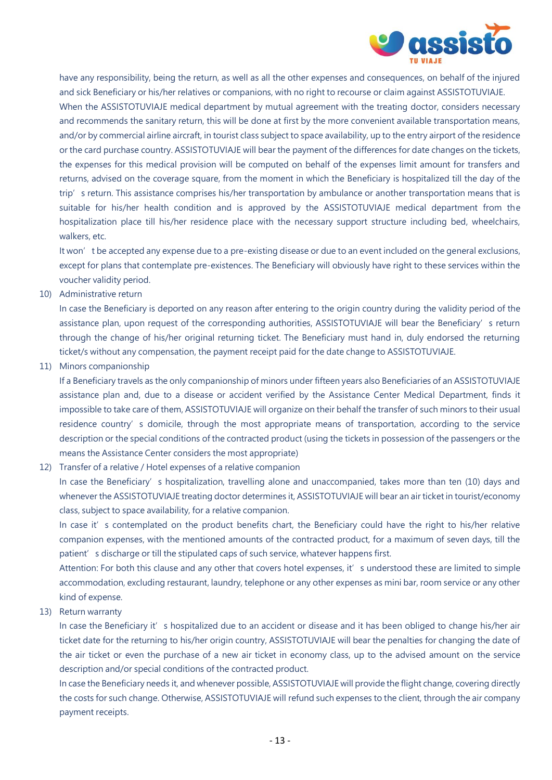

have any responsibility, being the return, as well as all the other expenses and consequences, on behalf of the injured and sick Beneficiary or his/her relatives or companions, with no right to recourse or claim against ASSISTOTUVIAJE. When the ASSISTOTUVIAJE medical department by mutual agreement with the treating doctor, considers necessary and recommends the sanitary return, this will be done at first by the more convenient available transportation means, and/or by commercial airline aircraft, in tourist class subject to space availability, up to the entry airport of the residence or the card purchase country. ASSISTOTUVIAJE will bear the payment of the differences for date changes on the tickets, the expenses for this medical provision will be computed on behalf of the expenses limit amount for transfers and returns, advised on the coverage square, from the moment in which the Beneficiary is hospitalized till the day of the trip' s return. This assistance comprises his/her transportation by ambulance or another transportation means that is suitable for his/her health condition and is approved by the ASSISTOTUVIAJE medical department from the hospitalization place till his/her residence place with the necessary support structure including bed, wheelchairs, walkers, etc.

It won't be accepted any expense due to a pre-existing disease or due to an event included on the general exclusions, except for plans that contemplate pre-existences. The Beneficiary will obviously have right to these services within the voucher validity period.

10) Administrative return

In case the Beneficiary is deported on any reason after entering to the origin country during the validity period of the assistance plan, upon request of the corresponding authorities, ASSISTOTUVIAJE will bear the Beneficiary's return through the change of his/her original returning ticket. The Beneficiary must hand in, duly endorsed the returning ticket/s without any compensation, the payment receipt paid for the date change to ASSISTOTUVIAJE.

11) Minors companionship

If a Beneficiary travels as the only companionship of minors under fifteen years also Beneficiaries of an ASSISTOTUVIAJE assistance plan and, due to a disease or accident verified by the Assistance Center Medical Department, finds it impossible to take care of them, ASSISTOTUVIAJE will organize on their behalf the transfer of such minors to their usual residence country's domicile, through the most appropriate means of transportation, according to the service description or the special conditions of the contracted product (using the tickets in possession of the passengers or the means the Assistance Center considers the most appropriate)

12) Transfer of a relative / Hotel expenses of a relative companion

In case the Beneficiary's hospitalization, travelling alone and unaccompanied, takes more than ten (10) days and whenever the ASSISTOTUVIAJE treating doctor determines it, ASSISTOTUVIAJE will bear an air ticket in tourist/economy class, subject to space availability, for a relative companion.

In case it's contemplated on the product benefits chart, the Beneficiary could have the right to his/her relative companion expenses, with the mentioned amounts of the contracted product, for a maximum of seven days, till the patient's discharge or till the stipulated caps of such service, whatever happens first.

Attention: For both this clause and any other that covers hotel expenses, it' s understood these are limited to simple accommodation, excluding restaurant, laundry, telephone or any other expenses as mini bar, room service or any other kind of expense.

13) Return warranty

In case the Beneficiary it's hospitalized due to an accident or disease and it has been obliged to change his/her air ticket date for the returning to his/her origin country, ASSISTOTUVIAJE will bear the penalties for changing the date of the air ticket or even the purchase of a new air ticket in economy class, up to the advised amount on the service description and/or special conditions of the contracted product.

In case the Beneficiary needs it, and whenever possible, ASSISTOTUVIAJE will provide the flight change, covering directly the costs for such change. Otherwise, ASSISTOTUVIAJE will refund such expenses to the client, through the air company payment receipts.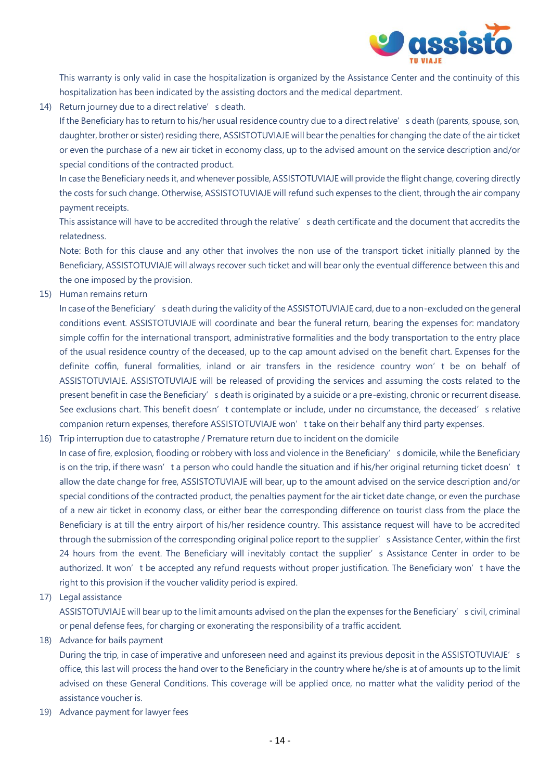

This warranty is only valid in case the hospitalization is organized by the Assistance Center and the continuity of this hospitalization has been indicated by the assisting doctors and the medical department.

14) Return journey due to a direct relative's death.

If the Beneficiary has to return to his/her usual residence country due to a direct relative's death (parents, spouse, son, daughter, brother or sister) residing there, ASSISTOTUVIAJE will bear the penalties for changing the date of the air ticket or even the purchase of a new air ticket in economy class, up to the advised amount on the service description and/or special conditions of the contracted product.

In case the Beneficiary needs it, and whenever possible, ASSISTOTUVIAJE will provide the flight change, covering directly the costs for such change. Otherwise, ASSISTOTUVIAJE will refund such expenses to the client, through the air company payment receipts.

This assistance will have to be accredited through the relative's death certificate and the document that accredits the relatedness.

Note: Both for this clause and any other that involves the non use of the transport ticket initially planned by the Beneficiary, ASSISTOTUVIAJE will always recover such ticket and will bear only the eventual difference between this and the one imposed by the provision.

15) Human remains return

In case of the Beneficiary's death during the validity of the ASSISTOTUVIAJE card, due to a non-excluded on the general conditions event. ASSISTOTUVIAJE will coordinate and bear the funeral return, bearing the expenses for: mandatory simple coffin for the international transport, administrative formalities and the body transportation to the entry place of the usual residence country of the deceased, up to the cap amount advised on the benefit chart. Expenses for the definite coffin, funeral formalities, inland or air transfers in the residence country won't be on behalf of ASSISTOTUVIAJE. ASSISTOTUVIAJE will be released of providing the services and assuming the costs related to the present benefit in case the Beneficiary's death is originated by a suicide or a pre-existing, chronic or recurrent disease. See exclusions chart. This benefit doesn't contemplate or include, under no circumstance, the deceased's relative companion return expenses, therefore ASSISTOTUVIAJE won't take on their behalf any third party expenses.

- 16) Trip interruption due to catastrophe / Premature return due to incident on the domicile
- In case of fire, explosion, flooding or robbery with loss and violence in the Beneficiary's domicile, while the Beneficiary is on the trip, if there wasn't a person who could handle the situation and if his/her original returning ticket doesn't allow the date change for free, ASSISTOTUVIAJE will bear, up to the amount advised on the service description and/or special conditions of the contracted product, the penalties payment for the air ticket date change, or even the purchase of a new air ticket in economy class, or either bear the corresponding difference on tourist class from the place the Beneficiary is at till the entry airport of his/her residence country. This assistance request will have to be accredited through the submission of the corresponding original police report to the supplier's Assistance Center, within the first 24 hours from the event. The Beneficiary will inevitably contact the supplier's Assistance Center in order to be authorized. It won't be accepted any refund requests without proper justification. The Beneficiary won't have the right to this provision if the voucher validity period is expired.
- 17) Legal assistance

ASSISTOTUVIAJE will bear up to the limit amounts advised on the plan the expenses for the Beneficiary's civil, criminal or penal defense fees, for charging or exonerating the responsibility of a traffic accident.

18) Advance for bails payment

During the trip, in case of imperative and unforeseen need and against its previous deposit in the ASSISTOTUVIAJE's office, this last will process the hand over to the Beneficiary in the country where he/she is at of amounts up to the limit advised on these General Conditions. This coverage will be applied once, no matter what the validity period of the assistance voucher is.

19) Advance payment for lawyer fees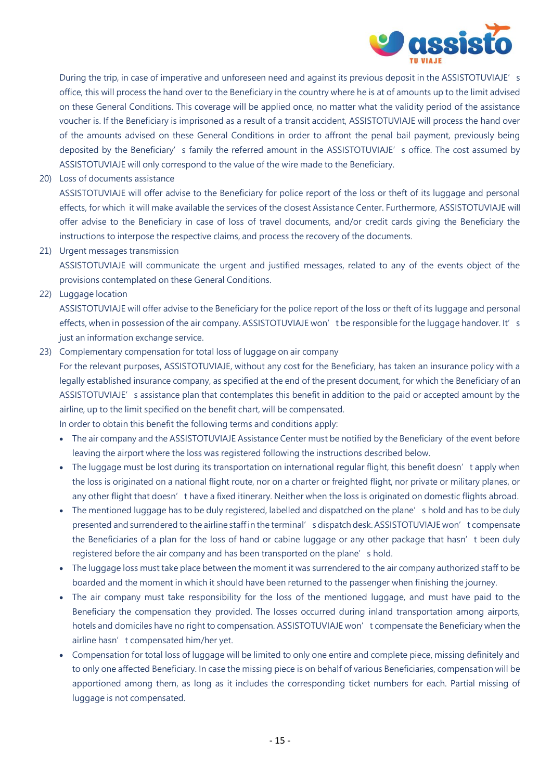

During the trip, in case of imperative and unforeseen need and against its previous deposit in the ASSISTOTUVIAJE's office, this will process the hand over to the Beneficiary in the country where he is at of amounts up to the limit advised on these General Conditions. This coverage will be applied once, no matter what the validity period of the assistance voucher is. If the Beneficiary is imprisoned as a result of a transit accident, ASSISTOTUVIAJE will process the hand over of the amounts advised on these General Conditions in order to affront the penal bail payment, previously being deposited by the Beneficiary's family the referred amount in the ASSISTOTUVIAJE's office. The cost assumed by ASSISTOTUVIAJE will only correspond to the value of the wire made to the Beneficiary.

20) Loss of documents assistance

ASSISTOTUVIAJE will offer advise to the Beneficiary for police report of the loss or theft of its luggage and personal effects, for which it will make available the services of the closest Assistance Center. Furthermore, ASSISTOTUVIAJE will offer advise to the Beneficiary in case of loss of travel documents, and/or credit cards giving the Beneficiary the instructions to interpose the respective claims, and process the recovery of the documents.

21) Urgent messages transmission

ASSISTOTUVIAJE will communicate the urgent and justified messages, related to any of the events object of the provisions contemplated on these General Conditions.

22) Luggage location

ASSISTOTUVIAJE will offer advise to the Beneficiary for the police report of the loss or theft of its luggage and personal effects, when in possession of the air company. ASSISTOTUVIAJE won't be responsible for the luggage handover. It's just an information exchange service.

23) Complementary compensation for total loss of luggage on air company

For the relevant purposes, ASSISTOTUVIAJE, without any cost for the Beneficiary, has taken an insurance policy with a legally established insurance company, as specified at the end of the present document, for which the Beneficiary of an ASSISTOTUVIAJE's assistance plan that contemplates this benefit in addition to the paid or accepted amount by the airline, up to the limit specified on the benefit chart, will be compensated.

In order to obtain this benefit the following terms and conditions apply:

- The air company and the ASSISTOTUVIAJE Assistance Center must be notified by the Beneficiary of the event before leaving the airport where the loss was registered following the instructions described below.
- The luggage must be lost during its transportation on international regular flight, this benefit doesn't apply when the loss is originated on a national flight route, nor on a charter or freighted flight, nor private or military planes, or any other flight that doesn't have a fixed itinerary. Neither when the loss is originated on domestic flights abroad.
- The mentioned luggage has to be duly registered, labelled and dispatched on the plane's hold and has to be duly presented and surrendered to the airline staff in the terminal's dispatch desk. ASSISTOTUVIAJE won't compensate the Beneficiaries of a plan for the loss of hand or cabine luggage or any other package that hasn't been duly registered before the air company and has been transported on the plane's hold.
- The luggage loss must take place between the moment it was surrendered to the air company authorized staff to be boarded and the moment in which it should have been returned to the passenger when finishing the journey.
- The air company must take responsibility for the loss of the mentioned luggage, and must have paid to the Beneficiary the compensation they provided. The losses occurred during inland transportation among airports, hotels and domiciles have no right to compensation. ASSISTOTUVIAJE won't compensate the Beneficiary when the airline hasn't compensated him/her yet.
- Compensation for total loss of luggage will be limited to only one entire and complete piece, missing definitely and to only one affected Beneficiary. In case the missing piece is on behalf of various Beneficiaries, compensation will be apportioned among them, as long as it includes the corresponding ticket numbers for each. Partial missing of luggage is not compensated.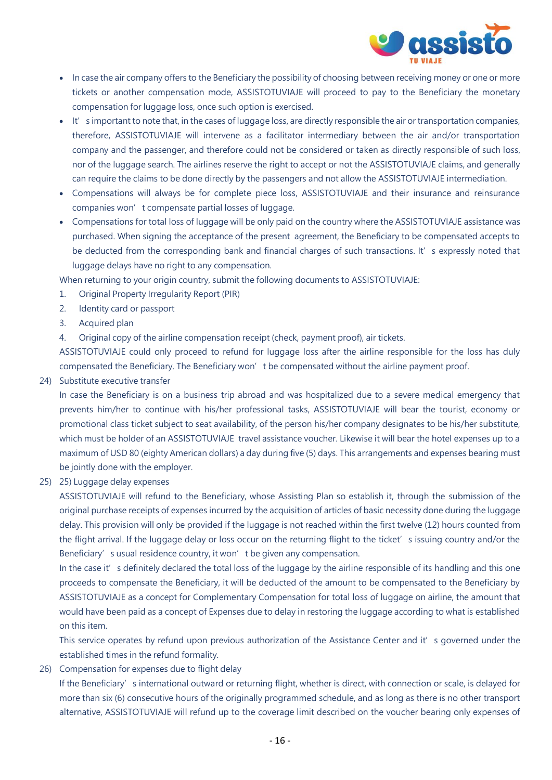

- In case the air company offers to the Beneficiary the possibility of choosing between receiving money or one or more tickets or another compensation mode, ASSISTOTUVIAJE will proceed to pay to the Beneficiary the monetary compensation for luggage loss, once such option is exercised.
- It's important to note that, in the cases of luggage loss, are directly responsible the air or transportation companies, therefore, ASSISTOTUVIAJE will intervene as a facilitator intermediary between the air and/or transportation company and the passenger, and therefore could not be considered or taken as directly responsible of such loss, nor of the luggage search. The airlines reserve the right to accept or not the ASSISTOTUVIAJE claims, and generally can require the claims to be done directly by the passengers and not allow the ASSISTOTUVIAJE intermediation.
- Compensations will always be for complete piece loss, ASSISTOTUVIAJE and their insurance and reinsurance companies won't compensate partial losses of luggage.
- Compensations for total loss of luggage will be only paid on the country where the ASSISTOTUVIAJE assistance was purchased. When signing the acceptance of the present agreement, the Beneficiary to be compensated accepts to be deducted from the corresponding bank and financial charges of such transactions. It's expressly noted that luggage delays have no right to any compensation.

When returning to your origin country, submit the following documents to ASSISTOTUVIAJE:

- 1. Original Property Irregularity Report (PIR)
- 2. Identity card or passport
- 3. Acquired plan
- 4. Original copy of the airline compensation receipt (check, payment proof), air tickets.

ASSISTOTUVIAJE could only proceed to refund for luggage loss after the airline responsible for the loss has duly compensated the Beneficiary. The Beneficiary won't be compensated without the airline payment proof.

#### 24) Substitute executive transfer

In case the Beneficiary is on a business trip abroad and was hospitalized due to a severe medical emergency that prevents him/her to continue with his/her professional tasks, ASSISTOTUVIAJE will bear the tourist, economy or promotional class ticket subject to seat availability, of the person his/her company designates to be his/her substitute, which must be holder of an ASSISTOTUVIAJE travel assistance voucher. Likewise it will bear the hotel expenses up to a maximum of USD 80 (eighty American dollars) a day during five (5) days. This arrangements and expenses bearing must be jointly done with the employer.

25) 25) Luggage delay expenses

ASSISTOTUVIAJE will refund to the Beneficiary, whose Assisting Plan so establish it, through the submission of the original purchase receipts of expenses incurred by the acquisition of articles of basic necessity done during the luggage delay. This provision will only be provided if the luggage is not reached within the first twelve (12) hours counted from the flight arrival. If the luggage delay or loss occur on the returning flight to the ticket's issuing country and/or the Beneficiary's usual residence country, it won't be given any compensation.

In the case it's definitely declared the total loss of the luggage by the airline responsible of its handling and this one proceeds to compensate the Beneficiary, it will be deducted of the amount to be compensated to the Beneficiary by ASSISTOTUVIAJE as a concept for Complementary Compensation for total loss of luggage on airline, the amount that would have been paid as a concept of Expenses due to delay in restoring the luggage according to what is established on this item.

This service operates by refund upon previous authorization of the Assistance Center and it's governed under the established times in the refund formality.

26) Compensation for expenses due to flight delay

If the Beneficiary's international outward or returning flight, whether is direct, with connection or scale, is delayed for more than six (6) consecutive hours of the originally programmed schedule, and as long as there is no other transport alternative, ASSISTOTUVIAJE will refund up to the coverage limit described on the voucher bearing only expenses of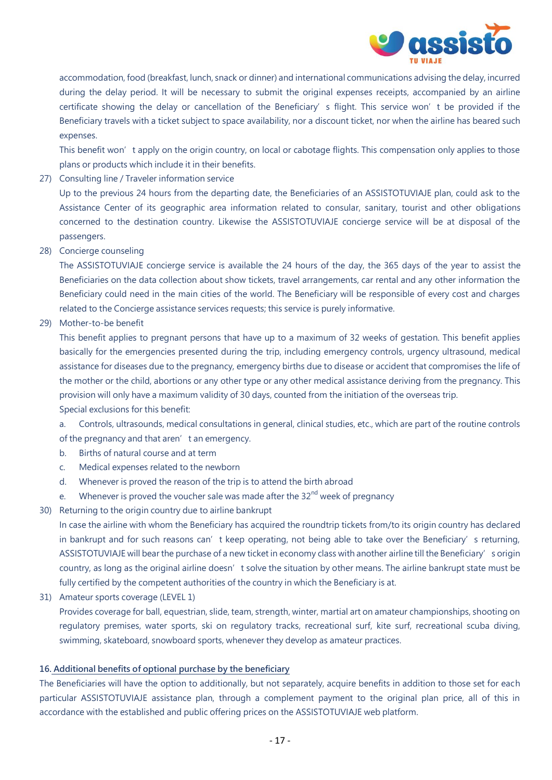

accommodation, food (breakfast, lunch, snack or dinner) and international communications advising the delay, incurred during the delay period. It will be necessary to submit the original expenses receipts, accompanied by an airline certificate showing the delay or cancellation of the Beneficiary's flight. This service won't be provided if the Beneficiary travels with a ticket subject to space availability, nor a discount ticket, nor when the airline has beared such expenses.

This benefit won't apply on the origin country, on local or cabotage flights. This compensation only applies to those plans or products which include it in their benefits.

27) Consulting line / Traveler information service

Up to the previous 24 hours from the departing date, the Beneficiaries of an ASSISTOTUVIAJE plan, could ask to the Assistance Center of its geographic area information related to consular, sanitary, tourist and other obligations concerned to the destination country. Likewise the ASSISTOTUVIAJE concierge service will be at disposal of the passengers.

28) Concierge counseling

The ASSISTOTUVIAJE concierge service is available the 24 hours of the day, the 365 days of the year to assist the Beneficiaries on the data collection about show tickets, travel arrangements, car rental and any other information the Beneficiary could need in the main cities of the world. The Beneficiary will be responsible of every cost and charges related to the Concierge assistance services requests; this service is purely informative.

29) Mother-to-be benefit

This benefit applies to pregnant persons that have up to a maximum of 32 weeks of gestation. This benefit applies basically for the emergencies presented during the trip, including emergency controls, urgency ultrasound, medical assistance for diseases due to the pregnancy, emergency births due to disease or accident that compromises the life of the mother or the child, abortions or any other type or any other medical assistance deriving from the pregnancy. This provision will only have a maximum validity of 30 days, counted from the initiation of the overseas trip. Special exclusions for this benefit:

a. Controls, ultrasounds, medical consultations in general, clinical studies, etc., which are part of the routine controls of the pregnancy and that aren't an emergency.

- b. Births of natural course and at term
- c. Medical expenses related to the newborn
- d. Whenever is proved the reason of the trip is to attend the birth abroad
- e. Whenever is proved the voucher sale was made after the  $32<sup>nd</sup>$  week of pregnancy
- 30) Returning to the origin country due to airline bankrupt

In case the airline with whom the Beneficiary has acquired the roundtrip tickets from/to its origin country has declared in bankrupt and for such reasons can't keep operating, not being able to take over the Beneficiary's returning, ASSISTOTUVIAJE will bear the purchase of a new ticket in economy class with another airline till the Beneficiary's origin country, as long as the original airline doesn't solve the situation by other means. The airline bankrupt state must be fully certified by the competent authorities of the country in which the Beneficiary is at.

31) Amateur sports coverage (LEVEL 1)

Provides coverage for ball, equestrian, slide, team, strength, winter, martial art on amateur championships, shooting on regulatory premises, water sports, ski on regulatory tracks, recreational surf, kite surf, recreational scuba diving, swimming, skateboard, snowboard sports, whenever they develop as amateur practices.

#### **16. Additional benefits of optional purchase by the beneficiary**

The Beneficiaries will have the option to additionally, but not separately, acquire benefits in addition to those set for each particular ASSISTOTUVIAJE assistance plan, through a complement payment to the original plan price, all of this in accordance with the established and public offering prices on the ASSISTOTUVIAJE web platform.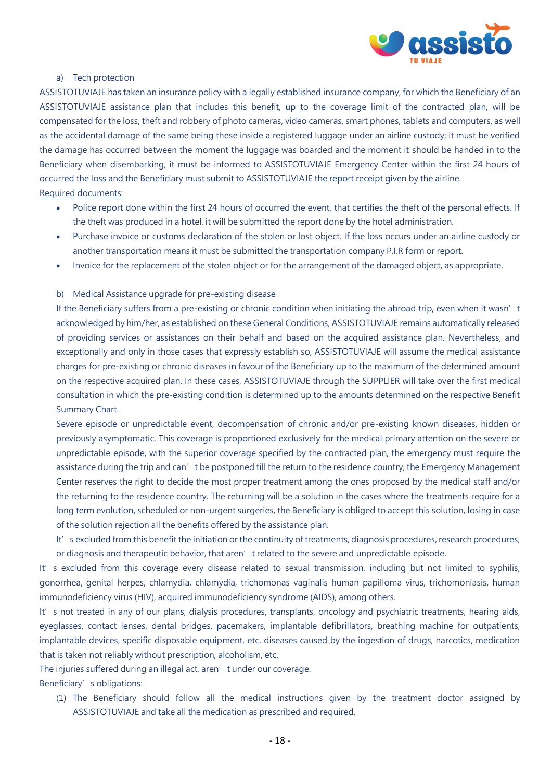

#### a) Tech protection

ASSISTOTUVIAJE has taken an insurance policy with a legally established insurance company, for which the Beneficiary of an ASSISTOTUVIAJE assistance plan that includes this benefit, up to the coverage limit of the contracted plan, will be compensated for the loss, theft and robbery of photo cameras, video cameras, smart phones, tablets and computers, as well as the accidental damage of the same being these inside a registered luggage under an airline custody; it must be verified the damage has occurred between the moment the luggage was boarded and the moment it should be handed in to the Beneficiary when disembarking, it must be informed to ASSISTOTUVIAJE Emergency Center within the first 24 hours of occurred the loss and the Beneficiary must submit to ASSISTOTUVIAJE the report receipt given by the airline. Required documents:

- Police report done within the first 24 hours of occurred the event, that certifies the theft of the personal effects. If the theft was produced in a hotel, it will be submitted the report done by the hotel administration.
- Purchase invoice or customs declaration of the stolen or lost object. If the loss occurs under an airline custody or another transportation means it must be submitted the transportation company P.I.R form or report.
- Invoice for the replacement of the stolen object or for the arrangement of the damaged object, as appropriate.

#### b) Medical Assistance upgrade for pre-existing disease

If the Beneficiary suffers from a pre-existing or chronic condition when initiating the abroad trip, even when it wasn't acknowledged by him/her, as established on these General Conditions, ASSISTOTUVIAJE remains automatically released of providing services or assistances on their behalf and based on the acquired assistance plan. Nevertheless, and exceptionally and only in those cases that expressly establish so, ASSISTOTUVIAJE will assume the medical assistance charges for pre-existing or chronic diseases in favour of the Beneficiary up to the maximum of the determined amount on the respective acquired plan. In these cases, ASSISTOTUVIAJE through the SUPPLIER will take over the first medical consultation in which the pre-existing condition is determined up to the amounts determined on the respective Benefit Summary Chart.

Severe episode or unpredictable event, decompensation of chronic and/or pre-existing known diseases, hidden or previously asymptomatic. This coverage is proportioned exclusively for the medical primary attention on the severe or unpredictable episode, with the superior coverage specified by the contracted plan, the emergency must require the assistance during the trip and can't be postponed till the return to the residence country, the Emergency Management Center reserves the right to decide the most proper treatment among the ones proposed by the medical staff and/or the returning to the residence country. The returning will be a solution in the cases where the treatments require for a long term evolution, scheduled or non-urgent surgeries, the Beneficiary is obliged to accept this solution, losing in case of the solution rejection all the benefits offered by the assistance plan.

It's excluded from this benefit the initiation or the continuity of treatments, diagnosis procedures, research procedures, or diagnosis and therapeutic behavior, that aren't related to the severe and unpredictable episode.

It's excluded from this coverage every disease related to sexual transmission, including but not limited to syphilis, gonorrhea, genital herpes, chlamydia, chlamydia, trichomonas vaginalis human papilloma virus, trichomoniasis, human immunodeficiency virus (HIV), acquired immunodeficiency syndrome (AIDS), among others.

It's not treated in any of our plans, dialysis procedures, transplants, oncology and psychiatric treatments, hearing aids, eyeglasses, contact lenses, dental bridges, pacemakers, implantable defibrillators, breathing machine for outpatients, implantable devices, specific disposable equipment, etc. diseases caused by the ingestion of drugs, narcotics, medication that is taken not reliably without prescription, alcoholism, etc.

The injuries suffered during an illegal act, aren't under our coverage.

Beneficiary's obligations:

(1) The Beneficiary should follow all the medical instructions given by the treatment doctor assigned by ASSISTOTUVIAJE and take all the medication as prescribed and required.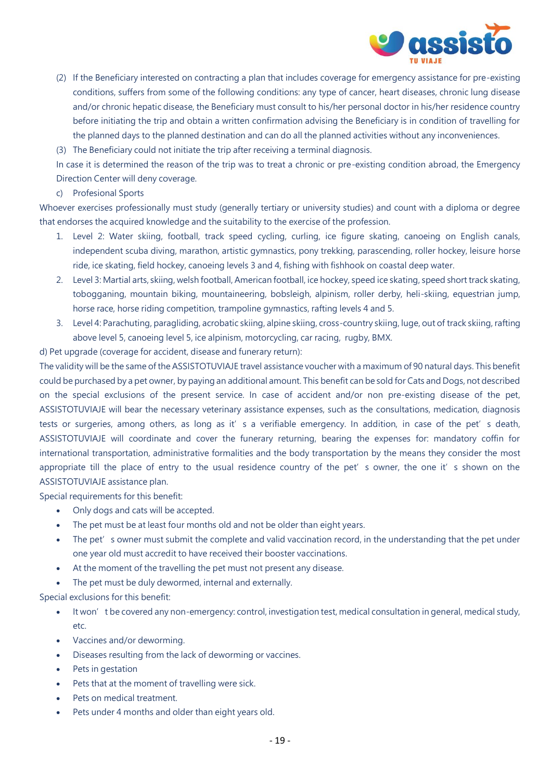

- (2) If the Beneficiary interested on contracting a plan that includes coverage for emergency assistance for pre-existing conditions, suffers from some of the following conditions: any type of cancer, heart diseases, chronic lung disease and/or chronic hepatic disease, the Beneficiary must consult to his/her personal doctor in his/her residence country before initiating the trip and obtain a written confirmation advising the Beneficiary is in condition of travelling for the planned days to the planned destination and can do all the planned activities without any inconveniences.
- (3) The Beneficiary could not initiate the trip after receiving a terminal diagnosis.

In case it is determined the reason of the trip was to treat a chronic or pre-existing condition abroad, the Emergency Direction Center will deny coverage.

c) Profesional Sports

Whoever exercises professionally must study (generally tertiary or university studies) and count with a diploma or degree that endorses the acquired knowledge and the suitability to the exercise of the profession.

- 1. Level 2: Water skiing, football, track speed cycling, curling, ice figure skating, canoeing on English canals, independent scuba diving, marathon, artistic gymnastics, pony trekking, parascending, roller hockey, leisure horse ride, ice skating, field hockey, canoeing levels 3 and 4, fishing with fishhook on coastal deep water.
- 2. Level 3: Martial arts, skiing, welsh football, American football, ice hockey, speed ice skating, speed short track skating, tobogganing, mountain biking, mountaineering, bobsleigh, alpinism, roller derby, heli-skiing, equestrian jump, horse race, horse riding competition, trampoline gymnastics, rafting levels 4 and 5.
- 3. Level 4: Parachuting, paragliding, acrobatic skiing, alpine skiing, cross-country skiing, luge, out of track skiing, rafting above level 5, canoeing level 5, ice alpinism, motorcycling, car racing, rugby, BMX.

d) Pet upgrade (coverage for accident, disease and funerary return):

The validity will be the same of the ASSISTOTUVIAJE travel assistance voucher with a maximum of 90 natural days. This benefit could be purchased by a pet owner, by paying an additional amount. This benefit can be sold for Cats and Dogs, not described on the special exclusions of the present service. In case of accident and/or non pre-existing disease of the pet, ASSISTOTUVIAJE will bear the necessary veterinary assistance expenses, such as the consultations, medication, diagnosis tests or surgeries, among others, as long as it's a verifiable emergency. In addition, in case of the pet's death, ASSISTOTUVIAJE will coordinate and cover the funerary returning, bearing the expenses for: mandatory coffin for international transportation, administrative formalities and the body transportation by the means they consider the most appropriate till the place of entry to the usual residence country of the pet's owner, the one it's shown on the ASSISTOTUVIAJE assistance plan.

Special requirements for this benefit:

- Only dogs and cats will be accepted.
- The pet must be at least four months old and not be older than eight years.
- The pet's owner must submit the complete and valid vaccination record, in the understanding that the pet under one year old must accredit to have received their booster vaccinations.
- At the moment of the travelling the pet must not present any disease.
- The pet must be duly dewormed, internal and externally.

Special exclusions for this benefit:

- It won't be covered any non-emergency: control, investigation test, medical consultation in general, medical study, etc.
- Vaccines and/or deworming.
- Diseases resulting from the lack of deworming or vaccines.
- Pets in gestation
- Pets that at the moment of travelling were sick.
- Pets on medical treatment.
- Pets under 4 months and older than eight years old.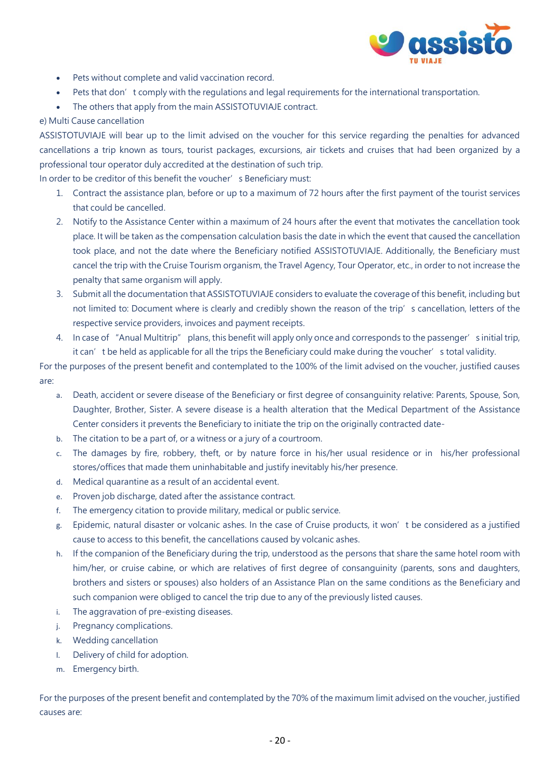

- Pets without complete and valid vaccination record.
- Pets that don't comply with the regulations and legal requirements for the international transportation.
- The others that apply from the main ASSISTOTUVIAJE contract.

## e) Multi Cause cancellation

ASSISTOTUVIAJE will bear up to the limit advised on the voucher for this service regarding the penalties for advanced cancellations a trip known as tours, tourist packages, excursions, air tickets and cruises that had been organized by a professional tour operator duly accredited at the destination of such trip.

In order to be creditor of this benefit the voucher's Beneficiary must:

- 1. Contract the assistance plan, before or up to a maximum of 72 hours after the first payment of the tourist services that could be cancelled.
- 2. Notify to the Assistance Center within a maximum of 24 hours after the event that motivates the cancellation took place. It will be taken as the compensation calculation basis the date in which the event that caused the cancellation took place, and not the date where the Beneficiary notified ASSISTOTUVIAJE. Additionally, the Beneficiary must cancel the trip with the Cruise Tourism organism, the Travel Agency, Tour Operator, etc., in order to not increase the penalty that same organism will apply.
- 3. Submit all the documentation that ASSISTOTUVIAJE considers to evaluate the coverage of this benefit, including but not limited to: Document where is clearly and credibly shown the reason of the trip's cancellation, letters of the respective service providers, invoices and payment receipts.
- 4. In case of "Anual Multitrip" plans, this benefit will apply only once and corresponds to the passenger's initial trip, it can't be held as applicable for all the trips the Beneficiary could make during the voucher's total validity.

For the purposes of the present benefit and contemplated to the 100% of the limit advised on the voucher, justified causes are:

- a. Death, accident or severe disease of the Beneficiary or first degree of consanguinity relative: Parents, Spouse, Son, Daughter, Brother, Sister. A severe disease is a health alteration that the Medical Department of the Assistance Center considers it prevents the Beneficiary to initiate the trip on the originally contracted date-
- b. The citation to be a part of, or a witness or a jury of a courtroom.
- c. The damages by fire, robbery, theft, or by nature force in his/her usual residence or in his/her professional stores/offices that made them uninhabitable and justify inevitably his/her presence.
- d. Medical quarantine as a result of an accidental event.
- e. Proven job discharge, dated after the assistance contract.
- f. The emergency citation to provide military, medical or public service.
- g. Epidemic, natural disaster or volcanic ashes. In the case of Cruise products, it won't be considered as a justified cause to access to this benefit, the cancellations caused by volcanic ashes.
- h. If the companion of the Beneficiary during the trip, understood as the persons that share the same hotel room with him/her, or cruise cabine, or which are relatives of first degree of consanguinity (parents, sons and daughters, brothers and sisters or spouses) also holders of an Assistance Plan on the same conditions as the Beneficiary and such companion were obliged to cancel the trip due to any of the previously listed causes.
- i. The aggravation of pre-existing diseases.
- j. Pregnancy complications.
- k. Wedding cancellation
- l. Delivery of child for adoption.
- m. Emergency birth.

For the purposes of the present benefit and contemplated by the 70% of the maximum limit advised on the voucher, justified causes are: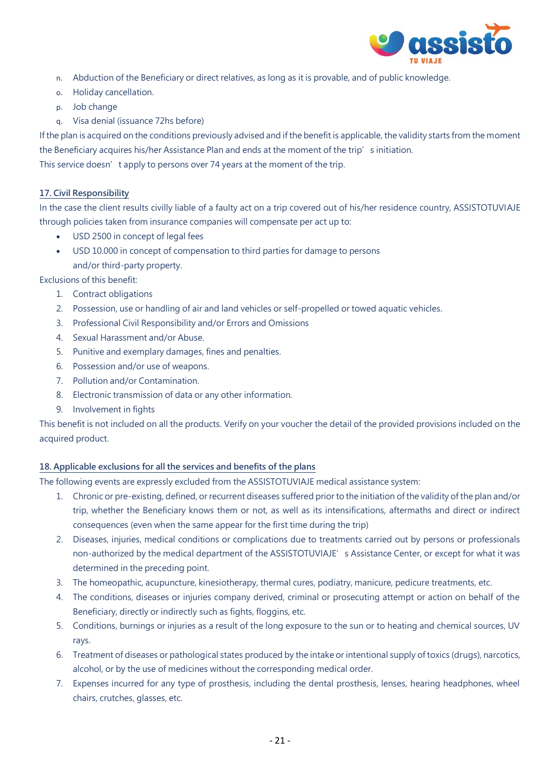

- n. Abduction of the Beneficiary or direct relatives, as long as it is provable, and of public knowledge.
- o. Holiday cancellation.
- p. Job change
- q. Visa denial (issuance 72hs before)

If the plan is acquired on the conditions previously advised and if the benefit is applicable, the validity starts from the moment the Beneficiary acquires his/her Assistance Plan and ends at the moment of the trip's initiation. This service doesn't apply to persons over 74 years at the moment of the trip.

## **17. Civil Responsibility**

In the case the client results civilly liable of a faulty act on a trip covered out of his/her residence country, ASSISTOTUVIAJE through policies taken from insurance companies will compensate per act up to:

- USD 2500 in concept of legal fees
- USD 10.000 in concept of compensation to third parties for damage to persons and/or third-party property.

Exclusions of this benefit:

- 1. Contract obligations
- 2. Possession, use or handling of air and land vehicles or self-propelled or towed aquatic vehicles.
- 3. Professional Civil Responsibility and/or Errors and Omissions
- 4. Sexual Harassment and/or Abuse.
- 5. Punitive and exemplary damages, fines and penalties.
- 6. Possession and/or use of weapons.
- 7. Pollution and/or Contamination.
- 8. Electronic transmission of data or any other information.
- 9. Involvement in fights

This benefit is not included on all the products. Verify on your voucher the detail of the provided provisions included on the acquired product.

#### **18. Applicable exclusions for all the services and benefits of the plans**

The following events are expressly excluded from the ASSISTOTUVIAJE medical assistance system:

- 1. Chronic or pre-existing, defined, or recurrent diseases suffered prior to the initiation of the validity of the plan and/or trip, whether the Beneficiary knows them or not, as well as its intensifications, aftermaths and direct or indirect consequences (even when the same appear for the first time during the trip)
- 2. Diseases, injuries, medical conditions or complications due to treatments carried out by persons or professionals non-authorized by the medical department of the ASSISTOTUVIAJE's Assistance Center, or except for what it was determined in the preceding point.
- 3. The homeopathic, acupuncture, kinesiotherapy, thermal cures, podiatry, manicure, pedicure treatments, etc.
- 4. The conditions, diseases or injuries company derived, criminal or prosecuting attempt or action on behalf of the Beneficiary, directly or indirectly such as fights, floggins, etc.
- 5. Conditions, burnings or injuries as a result of the long exposure to the sun or to heating and chemical sources, UV rays.
- 6. Treatment of diseases or pathological states produced by the intake or intentional supply of toxics (drugs), narcotics, alcohol, or by the use of medicines without the corresponding medical order.
- 7. Expenses incurred for any type of prosthesis, including the dental prosthesis, lenses, hearing headphones, wheel chairs, crutches, glasses, etc.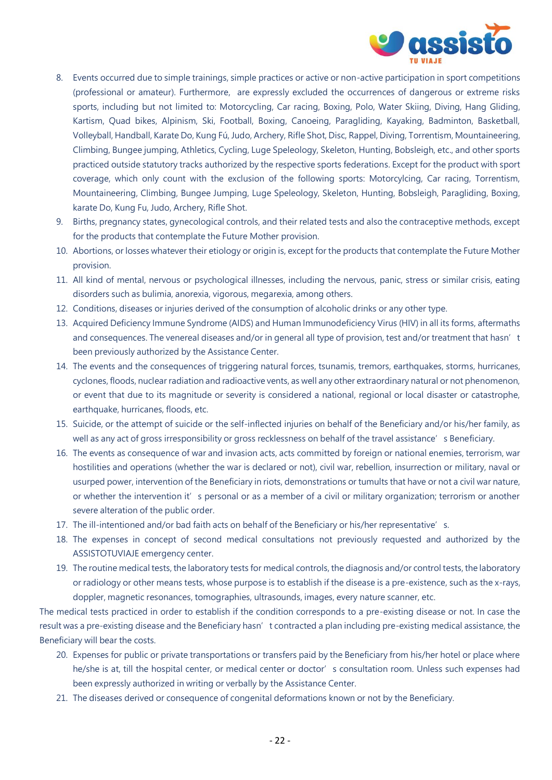

- 8. Events occurred due to simple trainings, simple practices or active or non-active participation in sport competitions (professional or amateur). Furthermore, are expressly excluded the occurrences of dangerous or extreme risks sports, including but not limited to: Motorcycling, Car racing, Boxing, Polo, Water Skiing, Diving, Hang Gliding, Kartism, Quad bikes, Alpinism, Ski, Football, Boxing, Canoeing, Paragliding, Kayaking, Badminton, Basketball, Volleyball, Handball, Karate Do, Kung Fú, Judo, Archery, Rifle Shot, Disc, Rappel, Diving, Torrentism, Mountaineering, Climbing, Bungee jumping, Athletics, Cycling, Luge Speleology, Skeleton, Hunting, Bobsleigh, etc., and other sports practiced outside statutory tracks authorized by the respective sports federations. Except for the product with sport coverage, which only count with the exclusion of the following sports: Motorcylcing, Car racing, Torrentism, Mountaineering, Climbing, Bungee Jumping, Luge Speleology, Skeleton, Hunting, Bobsleigh, Paragliding, Boxing, karate Do, Kung Fu, Judo, Archery, Rifle Shot.
- 9. Births, pregnancy states, gynecological controls, and their related tests and also the contraceptive methods, except for the products that contemplate the Future Mother provision.
- 10. Abortions, or losses whatever their etiology or origin is, except for the products that contemplate the Future Mother provision.
- 11. All kind of mental, nervous or psychological illnesses, including the nervous, panic, stress or similar crisis, eating disorders such as bulimia, anorexia, vigorous, megarexia, among others.
- 12. Conditions, diseases or injuries derived of the consumption of alcoholic drinks or any other type.
- 13. Acquired Deficiency Immune Syndrome (AIDS) and Human Immunodeficiency Virus (HIV) in all its forms, aftermaths and consequences. The venereal diseases and/or in general all type of provision, test and/or treatment that hasn't been previously authorized by the Assistance Center.
- 14. The events and the consequences of triggering natural forces, tsunamis, tremors, earthquakes, storms, hurricanes, cyclones, floods, nuclear radiation and radioactive vents, as well any other extraordinary natural or not phenomenon, or event that due to its magnitude or severity is considered a national, regional or local disaster or catastrophe, earthquake, hurricanes, floods, etc.
- 15. Suicide, or the attempt of suicide or the self-inflected injuries on behalf of the Beneficiary and/or his/her family, as well as any act of gross irresponsibility or gross recklessness on behalf of the travel assistance's Beneficiary.
- 16. The events as consequence of war and invasion acts, acts committed by foreign or national enemies, terrorism, war hostilities and operations (whether the war is declared or not), civil war, rebellion, insurrection or military, naval or usurped power, intervention of the Beneficiary in riots, demonstrations or tumults that have or not a civil war nature, or whether the intervention it's personal or as a member of a civil or military organization; terrorism or another severe alteration of the public order.
- 17. The ill-intentioned and/or bad faith acts on behalf of the Beneficiary or his/her representative's.
- 18. The expenses in concept of second medical consultations not previously requested and authorized by the ASSISTOTUVIAJE emergency center.
- 19. The routine medical tests, the laboratory tests for medical controls, the diagnosis and/or control tests, the laboratory or radiology or other means tests, whose purpose is to establish if the disease is a pre-existence, such as the x-rays, doppler, magnetic resonances, tomographies, ultrasounds, images, every nature scanner, etc.

The medical tests practiced in order to establish if the condition corresponds to a pre-existing disease or not. In case the result was a pre-existing disease and the Beneficiary hasn't contracted a plan including pre-existing medical assistance, the Beneficiary will bear the costs.

- 20. Expenses for public or private transportations or transfers paid by the Beneficiary from his/her hotel or place where he/she is at, till the hospital center, or medical center or doctor's consultation room. Unless such expenses had been expressly authorized in writing or verbally by the Assistance Center.
- 21. The diseases derived or consequence of congenital deformations known or not by the Beneficiary.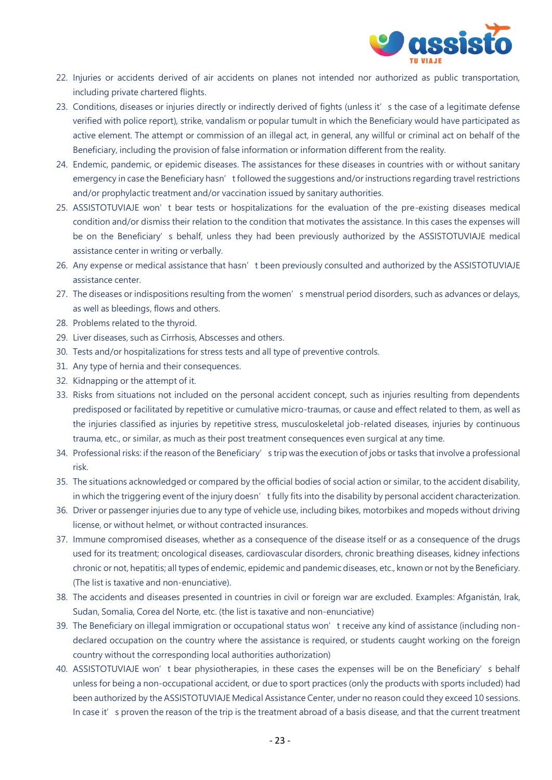

- 22. Injuries or accidents derived of air accidents on planes not intended nor authorized as public transportation, including private chartered flights.
- 23. Conditions, diseases or injuries directly or indirectly derived of fights (unless it's the case of a legitimate defense verified with police report), strike, vandalism or popular tumult in which the Beneficiary would have participated as active element. The attempt or commission of an illegal act, in general, any willful or criminal act on behalf of the Beneficiary, including the provision of false information or information different from the reality.
- 24. Endemic, pandemic, or epidemic diseases. The assistances for these diseases in countries with or without sanitary emergency in case the Beneficiary hasn't followed the suggestions and/or instructions regarding travel restrictions and/or prophylactic treatment and/or vaccination issued by sanitary authorities.
- 25. ASSISTOTUVIAJE won't bear tests or hospitalizations for the evaluation of the pre-existing diseases medical condition and/or dismiss their relation to the condition that motivates the assistance. In this cases the expenses will be on the Beneficiary's behalf, unless they had been previously authorized by the ASSISTOTUVIAJE medical assistance center in writing or verbally.
- 26. Any expense or medical assistance that hasn't been previously consulted and authorized by the ASSISTOTUVIAJE assistance center.
- 27. The diseases or indispositions resulting from the women's menstrual period disorders, such as advances or delays, as well as bleedings, flows and others.
- 28. Problems related to the thyroid.
- 29. Liver diseases, such as Cirrhosis, Abscesses and others.
- 30. Tests and/or hospitalizations for stress tests and all type of preventive controls.
- 31. Any type of hernia and their consequences.
- 32. Kidnapping or the attempt of it.
- 33. Risks from situations not included on the personal accident concept, such as injuries resulting from dependents predisposed or facilitated by repetitive or cumulative micro-traumas, or cause and effect related to them, as well as the injuries classified as injuries by repetitive stress, musculoskeletal job-related diseases, injuries by continuous trauma, etc., or similar, as much as their post treatment consequences even surgical at any time.
- 34. Professional risks: if the reason of the Beneficiary's trip was the execution of jobs or tasks that involve a professional risk.
- 35. The situations acknowledged or compared by the official bodies of social action or similar, to the accident disability, in which the triggering event of the injury doesn't fully fits into the disability by personal accident characterization.
- 36. Driver or passenger injuries due to any type of vehicle use, including bikes, motorbikes and mopeds without driving license, or without helmet, or without contracted insurances.
- 37. Immune compromised diseases, whether as a consequence of the disease itself or as a consequence of the drugs used for its treatment; oncological diseases, cardiovascular disorders, chronic breathing diseases, kidney infections chronic or not, hepatitis; all types of endemic, epidemic and pandemic diseases, etc., known or not by the Beneficiary. (The list is taxative and non-enunciative).
- 38. The accidents and diseases presented in countries in civil or foreign war are excluded. Examples: Afganistán, Irak, Sudan, Somalia, Corea del Norte, etc. (the list is taxative and non-enunciative)
- 39. The Beneficiary on illegal immigration or occupational status won't receive any kind of assistance (including nondeclared occupation on the country where the assistance is required, or students caught working on the foreign country without the corresponding local authorities authorization)
- 40. ASSISTOTUVIAJE won't bear physiotherapies, in these cases the expenses will be on the Beneficiary's behalf unless for being a non-occupational accident, or due to sport practices (only the products with sports included) had been authorized by the ASSISTOTUVIAJE Medical Assistance Center, under no reason could they exceed 10 sessions. In case it's proven the reason of the trip is the treatment abroad of a basis disease, and that the current treatment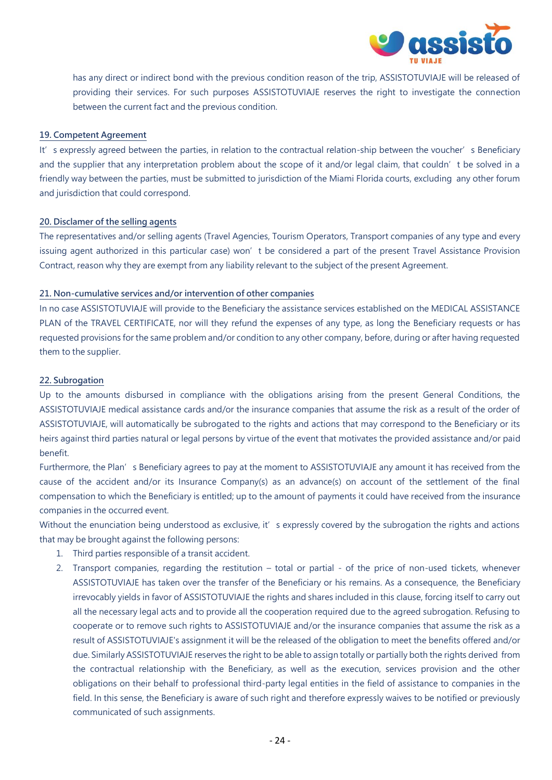

has any direct or indirect bond with the previous condition reason of the trip, ASSISTOTUVIAJE will be released of providing their services. For such purposes ASSISTOTUVIAJE reserves the right to investigate the connection between the current fact and the previous condition.

#### **19. Competent Agreement**

It's expressly agreed between the parties, in relation to the contractual relation-ship between the voucher's Beneficiary and the supplier that any interpretation problem about the scope of it and/or legal claim, that couldn't be solved in a friendly way between the parties, must be submitted to jurisdiction of the Miami Florida courts, excluding any other forum and jurisdiction that could correspond.

#### **20. Disclamer of the selling agents**

The representatives and/or selling agents (Travel Agencies, Tourism Operators, Transport companies of any type and every issuing agent authorized in this particular case) won't be considered a part of the present Travel Assistance Provision Contract, reason why they are exempt from any liability relevant to the subject of the present Agreement.

#### **21. Non-cumulative services and/or intervention of other companies**

In no case ASSISTOTUVIAJE will provide to the Beneficiary the assistance services established on the MEDICAL ASSISTANCE PLAN of the TRAVEL CERTIFICATE, nor will they refund the expenses of any type, as long the Beneficiary requests or has requested provisions for the same problem and/or condition to any other company, before, during or after having requested them to the supplier.

#### **22. Subrogation**

Up to the amounts disbursed in compliance with the obligations arising from the present General Conditions, the ASSISTOTUVIAJE medical assistance cards and/or the insurance companies that assume the risk as a result of the order of ASSISTOTUVIAJE, will automatically be subrogated to the rights and actions that may correspond to the Beneficiary or its heirs against third parties natural or legal persons by virtue of the event that motivates the provided assistance and/or paid benefit.

Furthermore, the Plan's Beneficiary agrees to pay at the moment to ASSISTOTUVIAJE any amount it has received from the cause of the accident and/or its Insurance Company(s) as an advance(s) on account of the settlement of the final compensation to which the Beneficiary is entitled; up to the amount of payments it could have received from the insurance companies in the occurred event.

Without the enunciation being understood as exclusive, it's expressly covered by the subrogation the rights and actions that may be brought against the following persons:

- 1. Third parties responsible of a transit accident.
- 2. Transport companies, regarding the restitution total or partial of the price of non-used tickets, whenever ASSISTOTUVIAJE has taken over the transfer of the Beneficiary or his remains. As a consequence, the Beneficiary irrevocably yields in favor of ASSISTOTUVIAJE the rights and shares included in this clause, forcing itself to carry out all the necessary legal acts and to provide all the cooperation required due to the agreed subrogation. Refusing to cooperate or to remove such rights to ASSISTOTUVIAJE and/or the insurance companies that assume the risk as a result of ASSISTOTUVIAJE's assignment it will be the released of the obligation to meet the benefits offered and/or due. Similarly ASSISTOTUVIAJE reserves the right to be able to assign totally or partially both the rights derived from the contractual relationship with the Beneficiary, as well as the execution, services provision and the other obligations on their behalf to professional third-party legal entities in the field of assistance to companies in the field. In this sense, the Beneficiary is aware of such right and therefore expressly waives to be notified or previously communicated of such assignments.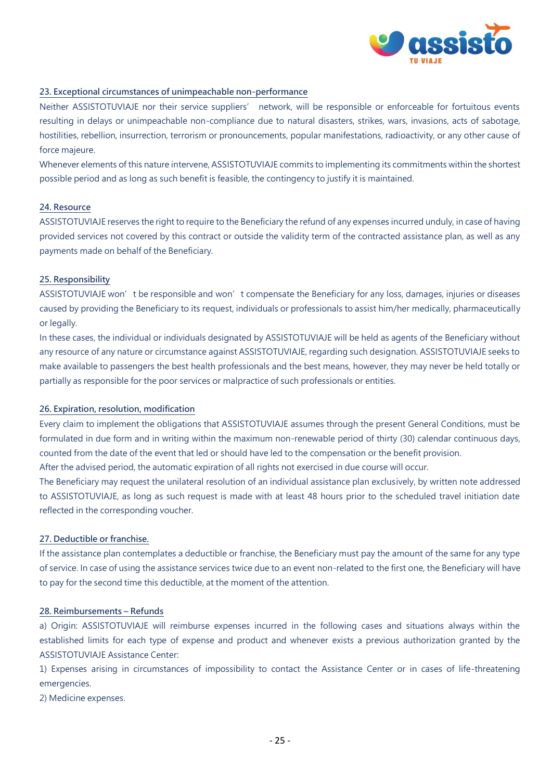

#### **23. Exceptional circumstances of unimpeachable non-performance**

Neither ASSISTOTUVIAJE nor their service suppliers' network, will be responsible or enforceable for fortuitous events resulting in delays or unimpeachable non-compliance due to natural disasters, strikes, wars, invasions, acts of sabotage, hostilities, rebellion, insurrection, terrorism or pronouncements, popular manifestations, radioactivity, or any other cause of force majeure.

Whenever elements of this nature intervene, ASSISTOTUVIAJE commits to implementing its commitments within the shortest possible period and as long as such benefit is feasible, the contingency to justify it is maintained.

## **24. Resource**

ASSISTOTUVIAJE reserves the right to require to the Beneficiary the refund of any expenses incurred unduly, in case of having provided services not covered by this contract or outside the validity term of the contracted assistance plan, as well as any payments made on behalf of the Beneficiary.

#### **25. Responsibility**

ASSISTOTUVIAJE won't be responsible and won't compensate the Beneficiary for any loss, damages, injuries or diseases caused by providing the Beneficiary to its request, individuals or professionals to assist him/her medically, pharmaceutically or legally.

In these cases, the individual or individuals designated by ASSISTOTUVIAJE will be held as agents of the Beneficiary without any resource of any nature or circumstance against ASSISTOTUVIAJE, regarding such designation. ASSISTOTUVIAJE seeks to make available to passengers the best health professionals and the best means, however, they may never be held totally or partially as responsible for the poor services or malpractice of such professionals or entities.

#### **26. Expiration, resolution, modification**

Every claim to implement the obligations that ASSISTOTUVIAJE assumes through the present General Conditions, must be formulated in due form and in writing within the maximum non-renewable period of thirty (30) calendar continuous days, counted from the date of the event that led or should have led to the compensation or the benefit provision.

After the advised period, the automatic expiration of all rights not exercised in due course will occur.

The Beneficiary may request the unilateral resolution of an individual assistance plan exclusively, by written note addressed to ASSISTOTUVIAJE, as long as such request is made with at least 48 hours prior to the scheduled travel initiation date reflected in the corresponding voucher.

## **27. Deductible or franchise.**

If the assistance plan contemplates a deductible or franchise, the Beneficiary must pay the amount of the same for any type of service. In case of using the assistance services twice due to an event non-related to the first one, the Beneficiary will have to pay for the second time this deductible, at the moment of the attention.

#### **28. Reimbursements – Refunds**

a) Origin: ASSISTOTUVIAJE will reimburse expenses incurred in the following cases and situations always within the established limits for each type of expense and product and whenever exists a previous authorization granted by the ASSISTOTUVIAJE Assistance Center:

1) Expenses arising in circumstances of impossibility to contact the Assistance Center or in cases of life-threatening emergencies.

2) Medicine expenses.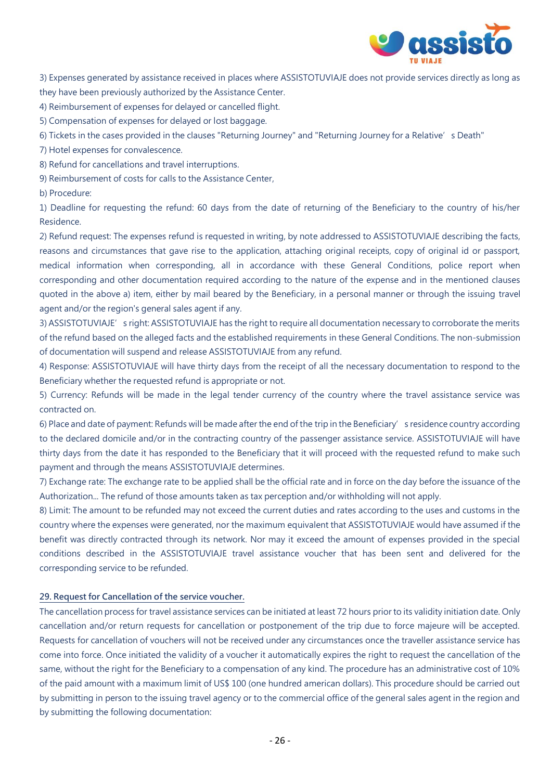

3) Expenses generated by assistance received in places where ASSISTOTUVIAJE does not provide services directly as long as they have been previously authorized by the Assistance Center.

4) Reimbursement of expenses for delayed or cancelled flight.

5) Compensation of expenses for delayed or lost baggage.

6) Tickets in the cases provided in the clauses "Returning Journey" and "Returning Journey for a Relative's Death"

7) Hotel expenses for convalescence.

8) Refund for cancellations and travel interruptions.

9) Reimbursement of costs for calls to the Assistance Center,

b) Procedure:

1) Deadline for requesting the refund: 60 days from the date of returning of the Beneficiary to the country of his/her Residence.

2) Refund request: The expenses refund is requested in writing, by note addressed to ASSISTOTUVIAJE describing the facts, reasons and circumstances that gave rise to the application, attaching original receipts, copy of original id or passport, medical information when corresponding, all in accordance with these General Conditions, police report when corresponding and other documentation required according to the nature of the expense and in the mentioned clauses quoted in the above a) item, either by mail beared by the Beneficiary, in a personal manner or through the issuing travel agent and/or the region's general sales agent if any.

3) ASSISTOTUVIAJE's right: ASSISTOTUVIAJE has the right to require all documentation necessary to corroborate the merits of the refund based on the alleged facts and the established requirements in these General Conditions. The non-submission of documentation will suspend and release ASSISTOTUVIAJE from any refund.

4) Response: ASSISTOTUVIAJE will have thirty days from the receipt of all the necessary documentation to respond to the Beneficiary whether the requested refund is appropriate or not.

5) Currency: Refunds will be made in the legal tender currency of the country where the travel assistance service was contracted on.

6) Place and date of payment: Refunds will be made after the end of the trip in the Beneficiary's residence country according to the declared domicile and/or in the contracting country of the passenger assistance service. ASSISTOTUVIAJE will have thirty days from the date it has responded to the Beneficiary that it will proceed with the requested refund to make such payment and through the means ASSISTOTUVIAJE determines.

7) Exchange rate: The exchange rate to be applied shall be the official rate and in force on the day before the issuance of the Authorization... The refund of those amounts taken as tax perception and/or withholding will not apply.

8) Limit: The amount to be refunded may not exceed the current duties and rates according to the uses and customs in the country where the expenses were generated, nor the maximum equivalent that ASSISTOTUVIAJE would have assumed if the benefit was directly contracted through its network. Nor may it exceed the amount of expenses provided in the special conditions described in the ASSISTOTUVIAJE travel assistance voucher that has been sent and delivered for the corresponding service to be refunded.

#### **29. Request for Cancellation of the service voucher.**

The cancellation process for travel assistance services can be initiated at least 72 hours prior to its validity initiation date. Only cancellation and/or return requests for cancellation or postponement of the trip due to force majeure will be accepted. Requests for cancellation of vouchers will not be received under any circumstances once the traveller assistance service has come into force. Once initiated the validity of a voucher it automatically expires the right to request the cancellation of the same, without the right for the Beneficiary to a compensation of any kind. The procedure has an administrative cost of 10% of the paid amount with a maximum limit of US\$ 100 (one hundred american dollars). This procedure should be carried out by submitting in person to the issuing travel agency or to the commercial office of the general sales agent in the region and by submitting the following documentation: